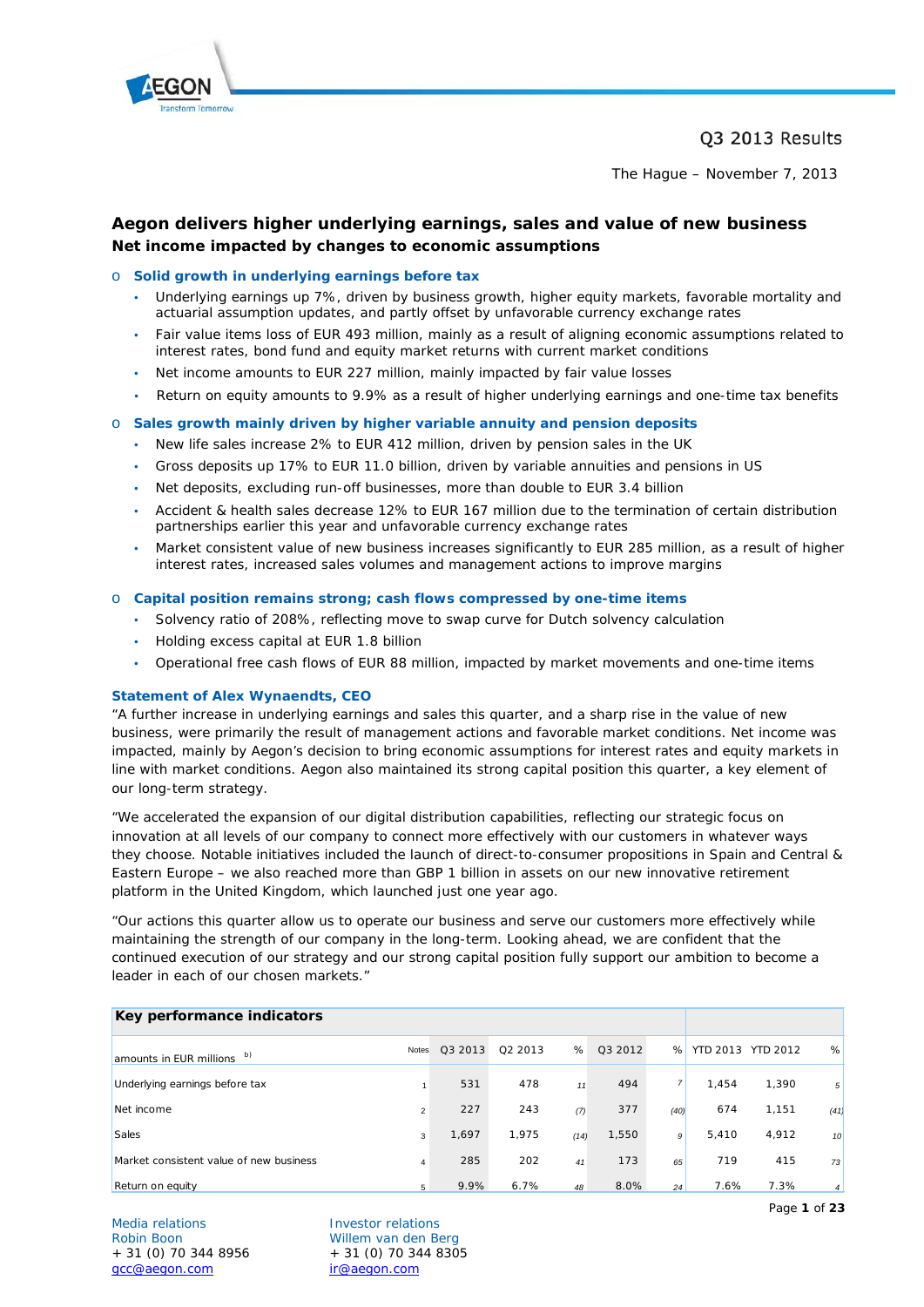

# Q3 2013 Results

The Hague – November 7, 2013

# **Aegon delivers higher underlying earnings, sales and value of new business** *Net income impacted by changes to economic assumptions*

### o **Solid growth in underlying earnings before tax**

- Underlying earnings up 7%, driven by business growth, higher equity markets, favorable mortality and actuarial assumption updates, and partly offset by unfavorable currency exchange rates
- Fair value items loss of EUR 493 million, mainly as a result of aligning economic assumptions related to interest rates, bond fund and equity market returns with current market conditions
- Net income amounts to EUR 227 million, mainly impacted by fair value losses
- Return on equity amounts to 9.9% as a result of higher underlying earnings and one-time tax benefits

#### o **Sales growth mainly driven by higher variable annuity and pension deposits**

- New life sales increase 2% to EUR 412 million, driven by pension sales in the UK
- Gross deposits up 17% to EUR 11.0 billion, driven by variable annuities and pensions in US
- Net deposits, excluding run-off businesses, more than double to EUR 3.4 billion
- Accident & health sales decrease 12% to EUR 167 million due to the termination of certain distribution partnerships earlier this year and unfavorable currency exchange rates
- Market consistent value of new business increases significantly to EUR 285 million, as a result of higher interest rates, increased sales volumes and management actions to improve margins

#### o **Capital position remains strong; cash flows compressed by one-time items**

- Solvency ratio of 208%, reflecting move to swap curve for Dutch solvency calculation
- Holding excess capital at EUR 1.8 billion
- Operational free cash flows of EUR 88 million, impacted by market movements and one-time items

#### **Statement of Alex Wynaendts, CEO**

"A further increase in underlying earnings and sales this quarter, and a sharp rise in the value of new business, were primarily the result of management actions and favorable market conditions. Net income was impacted, mainly by Aegon's decision to bring economic assumptions for interest rates and equity markets in line with market conditions. Aegon also maintained its strong capital position this quarter, a key element of our long-term strategy.

"We accelerated the expansion of our digital distribution capabilities, reflecting our strategic focus on innovation at all levels of our company to connect more effectively with our customers in whatever ways they choose. Notable initiatives included the launch of direct-to-consumer propositions in Spain and Central & Eastern Europe – we also reached more than GBP 1 billion in assets on our new innovative retirement platform in the United Kingdom, which launched just one year ago.

"Our actions this quarter allow us to operate our business and serve our customers more effectively while maintaining the strength of our company in the long-term. Looking ahead, we are confident that the continued execution of our strategy and our strong capital position fully support our ambition to become a leader in each of our chosen markets."

| Key performance indicators              |                |         |                     |      |         |      |          |                 |                 |
|-----------------------------------------|----------------|---------|---------------------|------|---------|------|----------|-----------------|-----------------|
| amounts in EUR millions b)              | <b>Notes</b>   | Q3 2013 | Q <sub>2</sub> 2013 | %    | Q3 2012 | %    | YTD 2013 | <b>YTD 2012</b> | %               |
| Underlying earnings before tax          |                | 531     | 478                 | 11   | 494     | 7    | 1.454    | 1,390           | 5               |
| Net income                              | $\overline{2}$ | 227     | 243                 | (7)  | 377     | (40) | 674      | 1.151           | (41)            |
| <b>Sales</b>                            | 3              | 1,697   | 1.975               | (14) | 1,550   | 9    | 5,410    | 4,912           | 10 <sup>°</sup> |
| Market consistent value of new business | $\overline{4}$ | 285     | 202                 | 41   | 173     | 65   | 719      | 415             | 73              |
| Return on equity                        | 5              | 9.9%    | 6.7%                | 48   | 8.0%    | 24   | 7.6%     | 7.3%            | $\overline{4}$  |

Media relations and the University Photos Robin Boon<br>
Robin Boon<br>
Willem van den Bo acc@aegon.com

Willem van den Berg + 31 (0) 70 344 8956 + 31 (0) 70 344 8305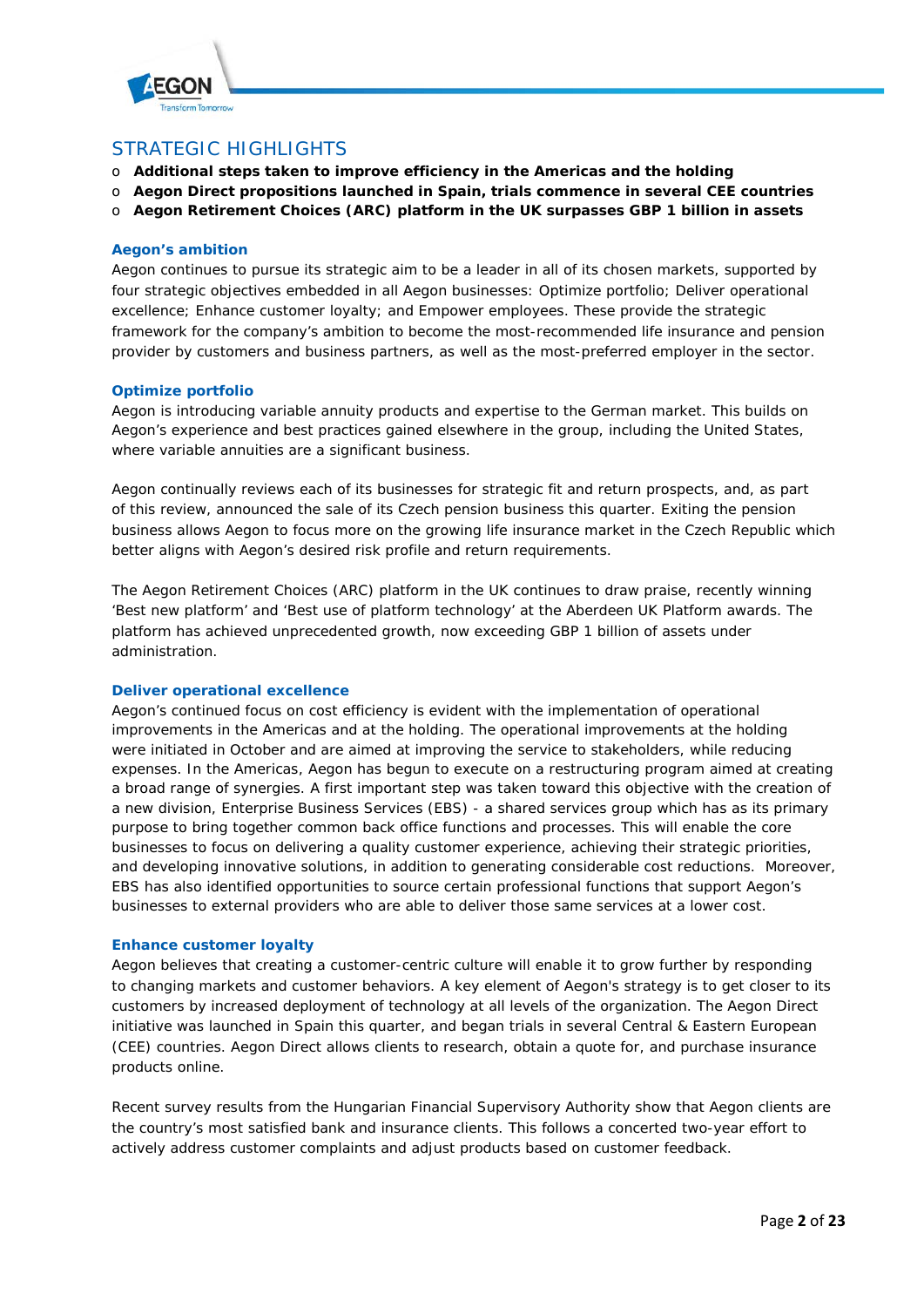

# STRATEGIC HIGHLIGHTS

- o **Additional steps taken to improve efficiency in the Americas and the holding**
- o **Aegon Direct propositions launched in Spain, trials commence in several CEE countries**
- o **Aegon Retirement Choices (ARC) platform in the UK surpasses GBP 1 billion in assets**

# **Aegon's ambition**

Aegon continues to pursue its strategic aim to be a leader in all of its chosen markets, supported by four strategic objectives embedded in all Aegon businesses: Optimize portfolio; Deliver operational excellence; Enhance customer loyalty; and Empower employees. These provide the strategic framework for the company's ambition to become the most-recommended life insurance and pension provider by customers and business partners, as well as the most-preferred employer in the sector.

### **Optimize portfolio**

Aegon is introducing variable annuity products and expertise to the German market. This builds on Aegon's experience and best practices gained elsewhere in the group, including the United States, where variable annuities are a significant business.

Aegon continually reviews each of its businesses for strategic fit and return prospects, and, as part of this review, announced the sale of its Czech pension business this quarter. Exiting the pension business allows Aegon to focus more on the growing life insurance market in the Czech Republic which better aligns with Aegon's desired risk profile and return requirements.

The Aegon Retirement Choices (ARC) platform in the UK continues to draw praise, recently winning 'Best new platform' and 'Best use of platform technology' at the Aberdeen UK Platform awards. The platform has achieved unprecedented growth, now exceeding GBP 1 billion of assets under administration.

#### **Deliver operational excellence**

Aegon's continued focus on cost efficiency is evident with the implementation of operational improvements in the Americas and at the holding. The operational improvements at the holding were initiated in October and are aimed at improving the service to stakeholders, while reducing expenses. In the Americas, Aegon has begun to execute on a restructuring program aimed at creating a broad range of synergies. A first important step was taken toward this objective with the creation of a new division, Enterprise Business Services (EBS) - a shared services group which has as its primary purpose to bring together common back office functions and processes. This will enable the core businesses to focus on delivering a quality customer experience, achieving their strategic priorities, and developing innovative solutions, in addition to generating considerable cost reductions. Moreover, EBS has also identified opportunities to source certain professional functions that support Aegon's businesses to external providers who are able to deliver those same services at a lower cost.

#### **Enhance customer loyalty**

Aegon believes that creating a customer-centric culture will enable it to grow further by responding to changing markets and customer behaviors. A key element of Aegon's strategy is to get closer to its customers by increased deployment of technology at all levels of the organization. The Aegon Direct initiative was launched in Spain this quarter, and began trials in several Central & Eastern European (CEE) countries. Aegon Direct allows clients to research, obtain a quote for, and purchase insurance products online.

Recent survey results from the Hungarian Financial Supervisory Authority show that Aegon clients are the country's most satisfied bank and insurance clients. This follows a concerted two-year effort to actively address customer complaints and adjust products based on customer feedback.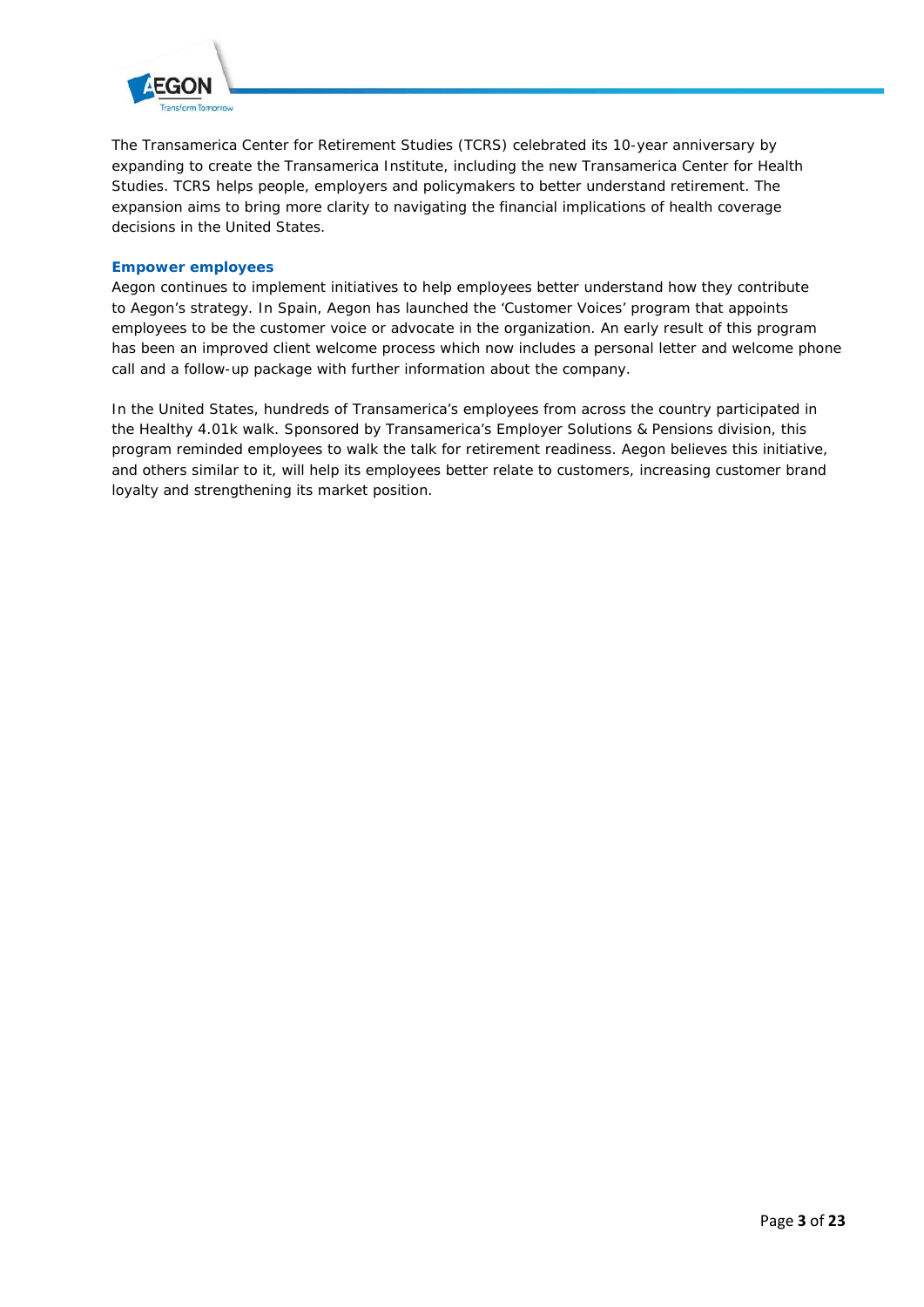

The Transamerica Center for Retirement Studies (TCRS) celebrated its 10-year anniversary by expanding to create the Transamerica Institute, including the new Transamerica Center for Health Studies. TCRS helps people, employers and policymakers to better understand retirement. The expansion aims to bring more clarity to navigating the financial implications of health coverage decisions in the United States.

# **Empower employees**

Aegon continues to implement initiatives to help employees better understand how they contribute to Aegon's strategy. In Spain, Aegon has launched the 'Customer Voices' program that appoints employees to be the customer voice or advocate in the organization. An early result of this program has been an improved client welcome process which now includes a personal letter and welcome phone call and a follow-up package with further information about the company.

In the United States, hundreds of Transamerica's employees from across the country participated in the Healthy 4.01k walk. Sponsored by Transamerica's Employer Solutions & Pensions division, this program reminded employees to *walk the talk* for retirement readiness. Aegon believes this initiative, and others similar to it, will help its employees better relate to customers, increasing customer brand loyalty and strengthening its market position.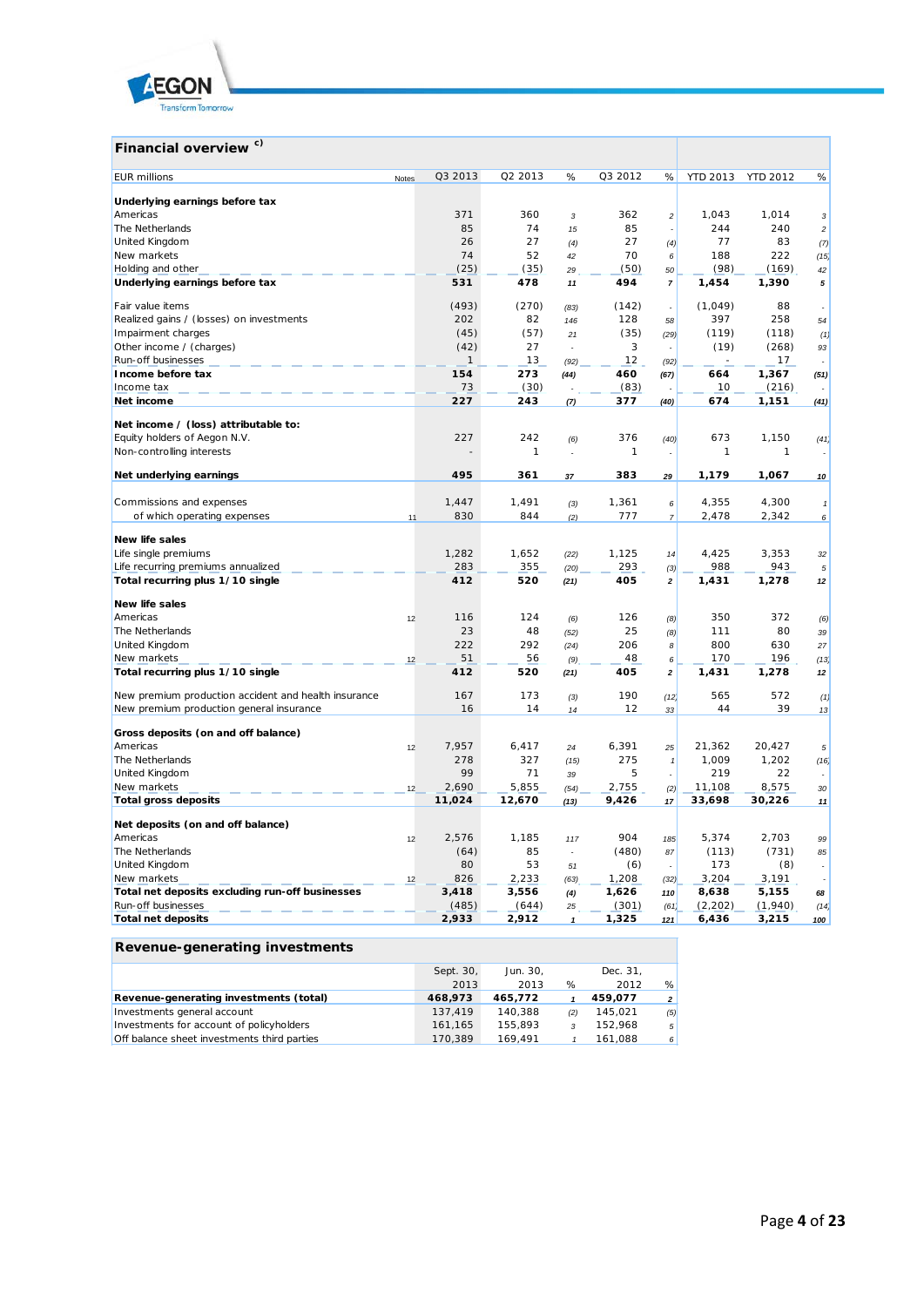

#### **Financial overview c)** *EUR millions* Notes Q3 2013 Q2 2013 % Q3 2012 % YTD 2013 YTD 2012 % **Underlying earnings before tax** Americas 371 360 *3* 362 *2* 1,043 1,014 *3* The Netherlands 85 74 *15* 85 *-* 244 240 *2* United Kingdom 26 27 *(4)* 27 *(4)* 77 83 *(7)* New markets 74 52 *42* 70 *6* 188 222 *(15)* Holding and other **Example 2008** 20 (35) (35) 29 (50) 50 (98) (98) (169) 42<br> **Underlying earnings before tax**  $\overline{531}$  531 478 11 494 7 1,454 1,390 5 **Underlying earnings before tax 531 478** *11* **494** *7* **1,454 1,390** *5* Fair value items (493) (270) *(83)* (142) *-* (1,049) 88 *-* Realized gains / (losses) on investments 202 82 *146* 128 *58* 397 258 *54* Impairment charges (45) (57) *21* (35) *(29)* (119) (118) *(1)* Other income / (charges) (42) 27 *-* 3 *-* (19) (268) *93* Run-off businesses 1 13 *(92)* 12 *(92)* - 17 *-* **Income before tax 154 273** *(44)* **460** *(67)* **664 1,367** *(51)* Income tax  $\qquad \qquad$   $\qquad$   $\qquad$   $\qquad$   $\qquad$   $\qquad$   $\qquad$   $\qquad$   $\qquad$   $\qquad$   $\qquad$   $\qquad$   $\qquad$   $\qquad$   $\qquad$   $\qquad$   $\qquad$   $\qquad$   $\qquad$   $\qquad$   $\qquad$   $\qquad$   $\qquad$   $\qquad$   $\qquad$   $\qquad$   $\qquad$   $\qquad$   $\qquad$   $\qquad$   $\qquad$   $\qquad$   $\qquad$   $\qquad$   $\qquad$ **Net income 227 243** *(7)* **377** *(40)* **674 1,151** *(41)* **Net income / (loss) attributable to:** Equity holders of Aegon N.V. 227 242 *(6)* 376 *(40)* 673 1,150 *(41)* Non-controlling interests - 1 *-* 1 *-* 1 1 *-* **Net underlying earnings 495 361** *37* **383** *29* **1,179 1,067** *10* Commissions and expenses 1,447 1,491 *(3)* 1,361 *6* 4,355 4,300 *1* of which operating expenses 11 830 844 *(2)* 777 *7* 2,478 2,342 *6* **New life sales** Life single premiums 1,282 1,652 *(22)* 1,125 *14* 4,425 3,353 *32* Life recurring premiums annualized 283 355 *(20)* 293 *(3)* 988 943 *5* **Total recurring plus 1/10 single 412 520** *(21)* **405** *2* **1,431 1,278** *12* **New life sales** Americas 12 116 124 *(6)* 126 *(8)* 350 372 *(6)* The Netherlands 23 48 *(52)* 25 *(8)* 111 80 *39* United Kingdom 222 292 *(24)* 206 *8* 800 630 *27* New markets 12 51 56 *(9)* 48 *6* 170 196 *(13)* **Total recurring plus 1/10 single 412 520** *(21)* **405** *2* **1,431 1,278** *12* New premium production accident and health insurance 167 173 *(3)* 190 *(12)* 565 572 *(1)* New premium production general insurance 16 14 *14* 12 *33* 44 39 *13* **Gross deposits (on and off balance)** Americas 12 7,957 6,417 *24* 6,391 *25* 21,362 20,427 *5* The Netherlands 278 327 *(15)* 275 *1* 1,009 1,202 *(16)* United Kingdom 99 71 *39* 5 *-* 219 22 *-* New markets 12 2,690 5,855 *(54)* 2,755 *(2)* 11,108 8,575 *30* **Total gross deposits 11,024 12,670** *(13)* **9,426** *17* **33,698 30,226** *11* **Net deposits (on and off balance)** Americas 12 2,576 1,185 *117* 904 *185* 5,374 2,703 *99* The Netherlands (64) 85 *-* (480) *87* (113) (731) *85* United Kingdom 80 53 *51* (6) *-* 173 (8) *-* New markets 12 826 2,233 *(63)* 1,208 *(32)* 3,204 3,191 *-* **Total net deposits excluding run-off businesses 3,418 3,556** *(4)* **1,626** *110* **8,638 5,155** *68* Run-off businesses (485) (644) *25* (301) *(61)* (2,202) (1,940) *(14)* **Total net deposits 2,933 2,912** *1* **1,325** *121* **6,436 3,215** *100*

#### **Revenue-generating investments**

|                                             | Sept. 30, | Jun. 30. |     | Dec. 31. |                |
|---------------------------------------------|-----------|----------|-----|----------|----------------|
|                                             | 2013      | 2013     | %   | 2012     | %              |
| Revenue-generating investments (total)      | 468,973   | 465.772  |     | 459.077  | $\overline{a}$ |
| Investments general account                 | 137.419   | 140.388  | (2) | 145,021  | (5)            |
| Investments for account of policyholders    | 161.165   | 155.893  |     | 152.968  | 5 <sup>1</sup> |
| Off balance sheet investments third parties | 170.389   | 169.491  |     | 161.088  | $6 \mid$       |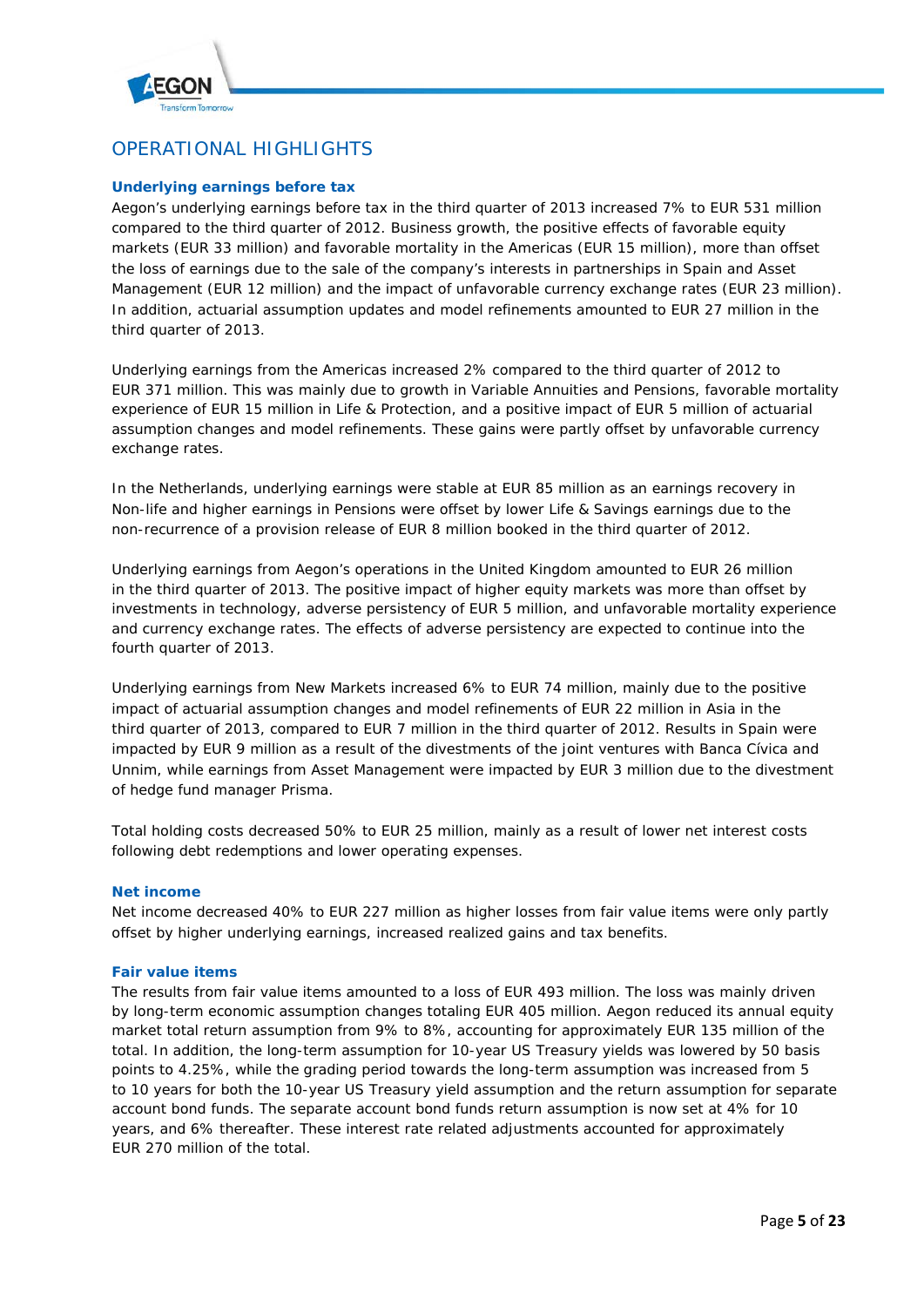

# OPERATIONAL HIGHLIGHTS

# **Underlying earnings before tax**

Aegon's underlying earnings before tax in the third quarter of 2013 increased 7% to EUR 531 million compared to the third quarter of 2012. Business growth, the positive effects of favorable equity markets (EUR 33 million) and favorable mortality in the Americas (EUR 15 million), more than offset the loss of earnings due to the sale of the company's interests in partnerships in Spain and Asset Management (EUR 12 million) and the impact of unfavorable currency exchange rates (EUR 23 million). In addition, actuarial assumption updates and model refinements amounted to EUR 27 million in the third quarter of 2013.

Underlying earnings from the Americas increased 2% compared to the third quarter of 2012 to EUR 371 million. This was mainly due to growth in Variable Annuities and Pensions, favorable mortality experience of EUR 15 million in Life & Protection, and a positive impact of EUR 5 million of actuarial assumption changes and model refinements. These gains were partly offset by unfavorable currency exchange rates.

In the Netherlands, underlying earnings were stable at EUR 85 million as an earnings recovery in Non-life and higher earnings in Pensions were offset by lower Life & Savings earnings due to the non-recurrence of a provision release of EUR 8 million booked in the third quarter of 2012.

Underlying earnings from Aegon's operations in the United Kingdom amounted to EUR 26 million in the third quarter of 2013. The positive impact of higher equity markets was more than offset by investments in technology, adverse persistency of EUR 5 million, and unfavorable mortality experience and currency exchange rates. The effects of adverse persistency are expected to continue into the fourth quarter of 2013.

Underlying earnings from New Markets increased 6% to EUR 74 million, mainly due to the positive impact of actuarial assumption changes and model refinements of EUR 22 million in Asia in the third quarter of 2013, compared to EUR 7 million in the third quarter of 2012. Results in Spain were impacted by EUR 9 million as a result of the divestments of the joint ventures with Banca Cívica and Unnim, while earnings from Asset Management were impacted by EUR 3 million due to the divestment of hedge fund manager Prisma.

Total holding costs decreased 50% to EUR 25 million, mainly as a result of lower net interest costs following debt redemptions and lower operating expenses.

#### **Net income**

Net income decreased 40% to EUR 227 million as higher losses from fair value items were only partly offset by higher underlying earnings, increased realized gains and tax benefits.

#### **Fair value items**

The results from fair value items amounted to a loss of EUR 493 million. The loss was mainly driven by long-term economic assumption changes totaling EUR 405 million. Aegon reduced its annual equity market total return assumption from 9% to 8%, accounting for approximately EUR 135 million of the total. In addition, the long-term assumption for 10-year US Treasury yields was lowered by 50 basis points to 4.25%, while the grading period towards the long-term assumption was increased from 5 to 10 years for both the 10-year US Treasury yield assumption and the return assumption for separate account bond funds. The separate account bond funds return assumption is now set at 4% for 10 years, and 6% thereafter. These interest rate related adjustments accounted for approximately EUR 270 million of the total.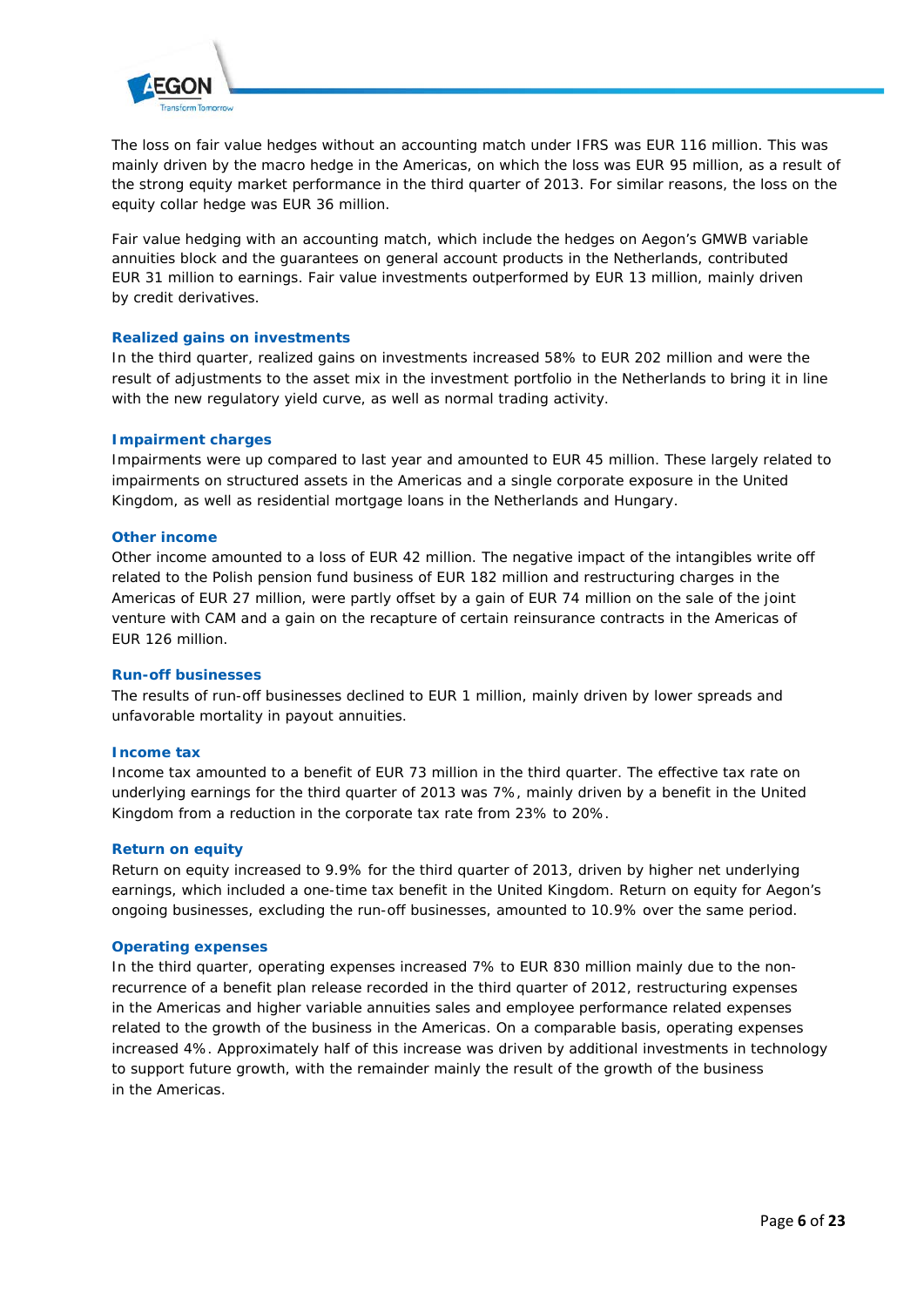

The loss on fair value hedges without an accounting match under IFRS was EUR 116 million. This was mainly driven by the macro hedge in the Americas, on which the loss was EUR 95 million, as a result of the strong equity market performance in the third quarter of 2013. For similar reasons, the loss on the equity collar hedge was EUR 36 million.

Fair value hedging with an accounting match, which include the hedges on Aegon's GMWB variable annuities block and the guarantees on general account products in the Netherlands, contributed EUR 31 million to earnings. Fair value investments outperformed by EUR 13 million, mainly driven by credit derivatives.

# **Realized gains on investments**

In the third quarter, realized gains on investments increased 58% to EUR 202 million and were the result of adjustments to the asset mix in the investment portfolio in the Netherlands to bring it in line with the new regulatory yield curve, as well as normal trading activity.

### **Impairment charges**

Impairments were up compared to last year and amounted to EUR 45 million. These largely related to impairments on structured assets in the Americas and a single corporate exposure in the United Kingdom, as well as residential mortgage loans in the Netherlands and Hungary.

#### **Other income**

Other income amounted to a loss of EUR 42 million. The negative impact of the intangibles write off related to the Polish pension fund business of EUR 182 million and restructuring charges in the Americas of EUR 27 million, were partly offset by a gain of EUR 74 million on the sale of the joint venture with CAM and a gain on the recapture of certain reinsurance contracts in the Americas of EUR 126 million.

#### **Run-off businesses**

The results of run-off businesses declined to EUR 1 million, mainly driven by lower spreads and unfavorable mortality in payout annuities.

#### **Income tax**

Income tax amounted to a benefit of EUR 73 million in the third quarter. The effective tax rate on underlying earnings for the third quarter of 2013 was 7%, mainly driven by a benefit in the United Kingdom from a reduction in the corporate tax rate from 23% to 20%.

#### **Return on equity**

Return on equity increased to 9.9% for the third quarter of 2013, driven by higher net underlying earnings, which included a one-time tax benefit in the United Kingdom. Return on equity for Aegon's ongoing businesses, excluding the run-off businesses, amounted to 10.9% over the same period.

#### **Operating expenses**

In the third quarter, operating expenses increased 7% to EUR 830 million mainly due to the nonrecurrence of a benefit plan release recorded in the third quarter of 2012, restructuring expenses in the Americas and higher variable annuities sales and employee performance related expenses related to the growth of the business in the Americas. On a comparable basis, operating expenses increased 4%. Approximately half of this increase was driven by additional investments in technology to support future growth, with the remainder mainly the result of the growth of the business in the Americas.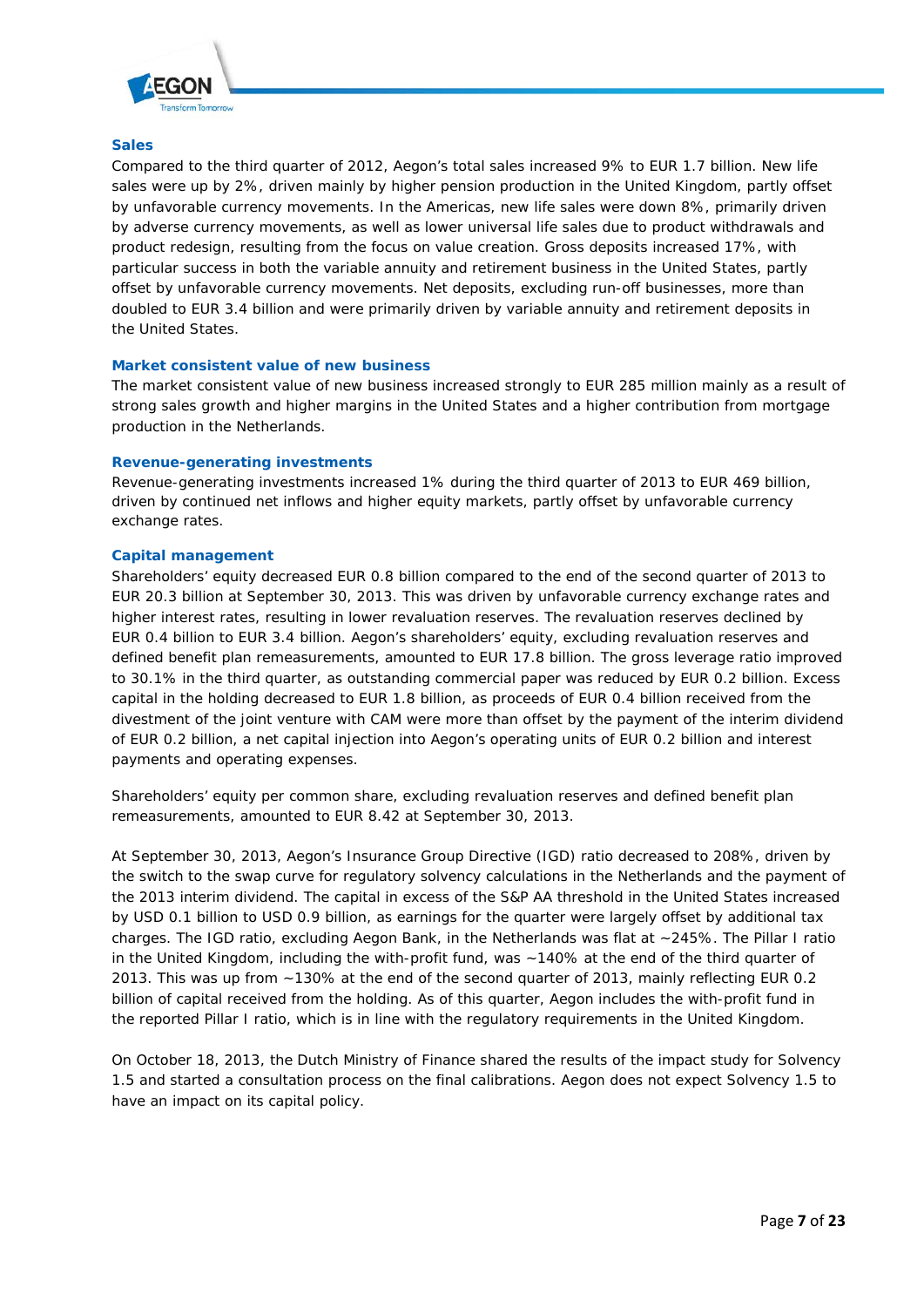

#### **Sales**

Compared to the third quarter of 2012, Aegon's total sales increased 9% to EUR 1.7 billion. New life sales were up by 2%, driven mainly by higher pension production in the United Kingdom, partly offset by unfavorable currency movements. In the Americas, new life sales were down 8%, primarily driven by adverse currency movements, as well as lower universal life sales due to product withdrawals and product redesign, resulting from the focus on value creation. Gross deposits increased 17%, with particular success in both the variable annuity and retirement business in the United States, partly offset by unfavorable currency movements. Net deposits, excluding run-off businesses, more than doubled to EUR 3.4 billion and were primarily driven by variable annuity and retirement deposits in the United States.

## **Market consistent value of new business**

The market consistent value of new business increased strongly to EUR 285 million mainly as a result of strong sales growth and higher margins in the United States and a higher contribution from mortgage production in the Netherlands.

### **Revenue-generating investments**

Revenue-generating investments increased 1% during the third quarter of 2013 to EUR 469 billion, driven by continued net inflows and higher equity markets, partly offset by unfavorable currency exchange rates.

### **Capital management**

Shareholders' equity decreased EUR 0.8 billion compared to the end of the second quarter of 2013 to EUR 20.3 billion at September 30, 2013. This was driven by unfavorable currency exchange rates and higher interest rates, resulting in lower revaluation reserves. The revaluation reserves declined by EUR 0.4 billion to EUR 3.4 billion. Aegon's shareholders' equity, excluding revaluation reserves and defined benefit plan remeasurements, amounted to EUR 17.8 billion. The gross leverage ratio improved to 30.1% in the third quarter, as outstanding commercial paper was reduced by EUR 0.2 billion. Excess capital in the holding decreased to EUR 1.8 billion, as proceeds of EUR 0.4 billion received from the divestment of the joint venture with CAM were more than offset by the payment of the interim dividend of EUR 0.2 billion, a net capital injection into Aegon's operating units of EUR 0.2 billion and interest payments and operating expenses.

Shareholders' equity per common share, excluding revaluation reserves and defined benefit plan remeasurements, amounted to EUR 8.42 at September 30, 2013.

At September 30, 2013, Aegon's Insurance Group Directive (IGD) ratio decreased to 208%, driven by the switch to the swap curve for regulatory solvency calculations in the Netherlands and the payment of the 2013 interim dividend. The capital in excess of the S&P AA threshold in the United States increased by USD 0.1 billion to USD 0.9 billion, as earnings for the quarter were largely offset by additional tax charges. The IGD ratio, excluding Aegon Bank, in the Netherlands was flat at ~245%. The Pillar I ratio in the United Kingdom, including the with-profit fund, was ~140% at the end of the third quarter of 2013. This was up from ~130% at the end of the second quarter of 2013, mainly reflecting EUR 0.2 billion of capital received from the holding. As of this quarter, Aegon includes the with-profit fund in the reported Pillar I ratio, which is in line with the regulatory requirements in the United Kingdom.

On October 18, 2013, the Dutch Ministry of Finance shared the results of the impact study for Solvency 1.5 and started a consultation process on the final calibrations. Aegon does not expect Solvency 1.5 to have an impact on its capital policy.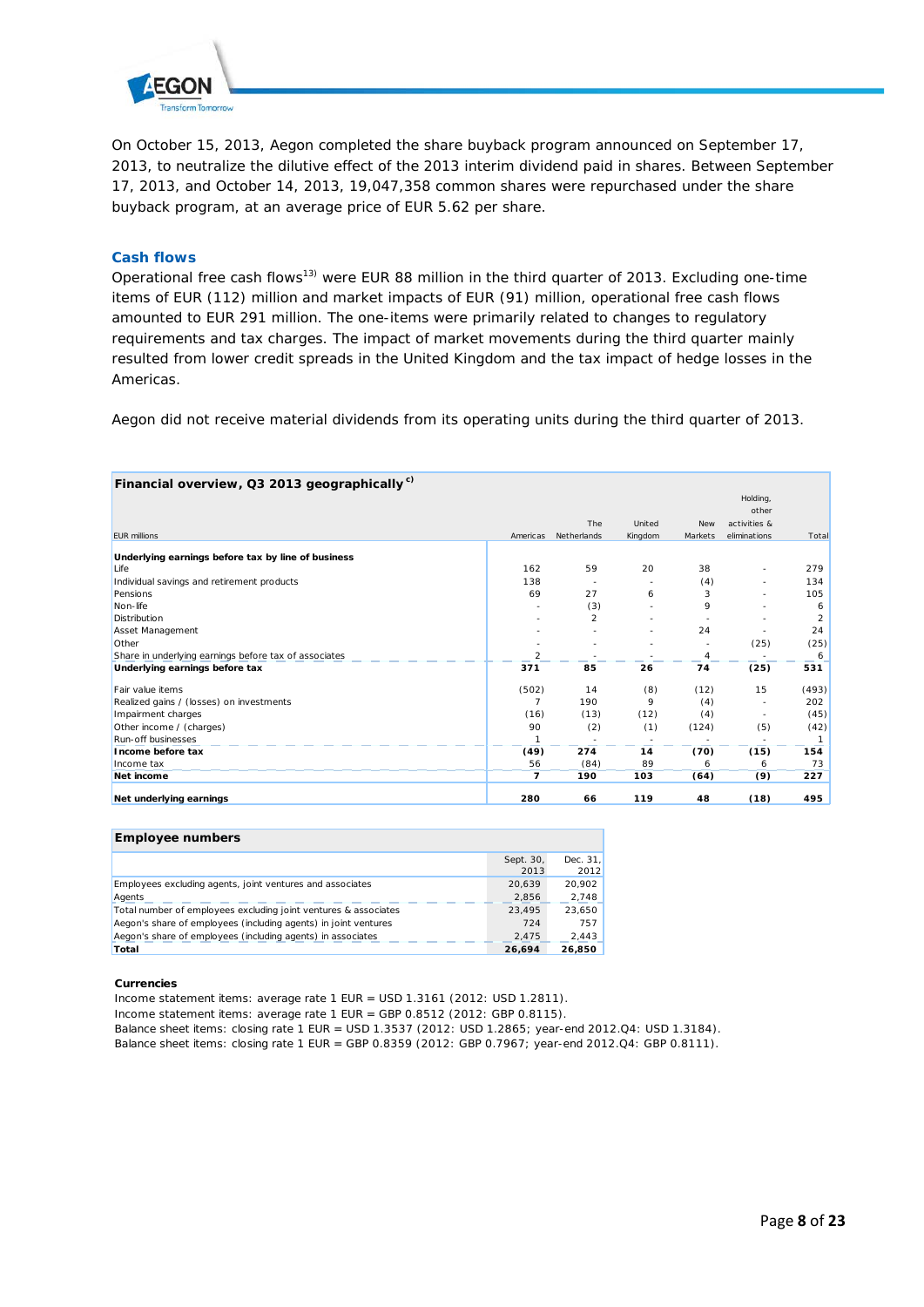

On October 15, 2013, Aegon completed the share buyback program announced on September 17, 2013, to neutralize the dilutive effect of the 2013 interim dividend paid in shares. Between September 17, 2013, and October 14, 2013, 19,047,358 common shares were repurchased under the share buyback program, at an average price of EUR 5.62 per share.

## **Cash flows**

Operational free cash flows<sup>13)</sup> were EUR 88 million in the third quarter of 2013. Excluding one-time items of EUR (112) million and market impacts of EUR (91) million, operational free cash flows amounted to EUR 291 million. The one-items were primarily related to changes to regulatory requirements and tax charges. The impact of market movements during the third quarter mainly resulted from lower credit spreads in the United Kingdom and the tax impact of hedge losses in the Americas.

Aegon did not receive material dividends from its operating units during the third quarter of 2013.

| Financial overview, Q3 2013 geographically <sup>c)</sup> |                |                |         |            |              |                |
|----------------------------------------------------------|----------------|----------------|---------|------------|--------------|----------------|
|                                                          |                |                |         |            | Holding,     |                |
|                                                          |                |                |         |            | other        |                |
|                                                          |                | The            | United  | <b>New</b> | activities & |                |
| <b>EUR millions</b>                                      | Americas       | Netherlands    | Kingdom | Markets    | eliminations | Total          |
| Underlying earnings before tax by line of business       |                |                |         |            |              |                |
| Life                                                     | 162            | 59             | 20      | 38         |              | 279            |
| Individual savings and retirement products               | 138            |                |         | (4)        |              | 134            |
| Pensions                                                 | 69             | 27             | 6       | 3          |              | 105            |
| Non-life                                                 |                | (3)            |         | 9          |              | 6              |
| Distribution                                             |                | $\overline{2}$ |         |            |              | $\overline{2}$ |
| Asset Management                                         |                |                |         | 24         |              | 24             |
| Other                                                    |                |                |         |            | (25)         | (25)           |
| Share in underlying earnings before tax of associates    | $\overline{2}$ |                |         | 4          |              | 6              |
| Underlying earnings before tax                           | 371            | 85             | 26      | 74         | (25)         | 531            |
| Fair value items                                         | (502)          | 14             | (8)     | (12)       | 15           | (493)          |
| Realized gains / (losses) on investments                 | 7              | 190            | 9       | (4)        |              | 202            |
| Impairment charges                                       | (16)           | (13)           | (12)    | (4)        |              | (45)           |
| Other income / (charges)                                 | 90             | (2)            | (1)     | (124)      | (5)          | (42)           |
| <b>Run-off businesses</b>                                |                |                |         |            |              | 1              |
| Income before tax                                        | (49)           | 274            | 14      | (70)       | (15)         | 154            |
| Income tax                                               | 56             | (84)           | 89      | 6          | 6            | 73             |
| Net income                                               | 7              | 190            | 103     | (64)       | (9)          | 227            |
| Net underlying earnings                                  | 280            | 66             | 119     | 48         | (18)         | 495            |

| <b>Employee numbers</b>                                         |                   |                  |
|-----------------------------------------------------------------|-------------------|------------------|
|                                                                 | Sept. 30.<br>2013 | Dec. 31.<br>2012 |
| Employees excluding agents, joint ventures and associates       | 20.639            | 20.902           |
| Agents                                                          | 2.856             | 2,748            |
| Total number of employees excluding joint ventures & associates | 23.495            | 23.650           |
| Aegon's share of employees (including agents) in joint ventures | 724               | 757              |
| Aegon's share of employees (including agents) in associates     | 2.475             | 2,443            |
| Total                                                           | 26.694            | 26.850           |

#### **Currencies**

Income statement items: average rate 1 EUR = USD 1.3161 (2012: USD 1.2811).

Income statement items: average rate 1 EUR = GBP 0.8512 (2012: GBP 0.8115).

Balance sheet items: closing rate 1 EUR = USD 1.3537 (2012: USD 1.2865; year-end 2012.Q4: USD 1.3184).

Balance sheet items: closing rate 1 EUR = GBP 0.8359 (2012: GBP 0.7967; year-end 2012.Q4: GBP 0.8111).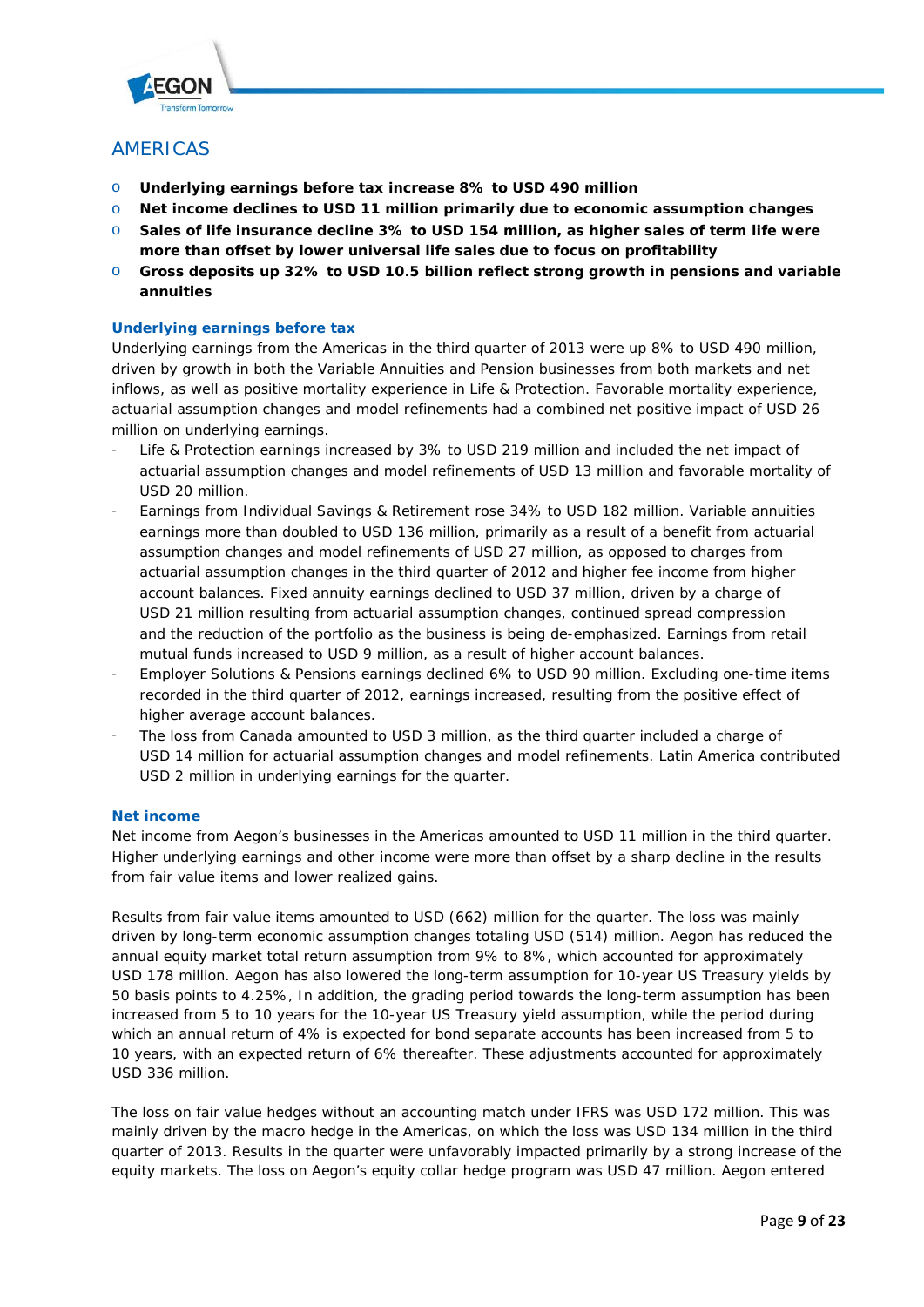

# AMERICAS

- o **Underlying earnings before tax increase 8% to USD 490 million**
- o **Net income declines to USD 11 million primarily due to economic assumption changes**
- o **Sales of life insurance decline 3% to USD 154 million, as higher sales of term life were more than offset by lower universal life sales due to focus on profitability**
- o **Gross deposits up 32% to USD 10.5 billion reflect strong growth in pensions and variable annuities**

# **Underlying earnings before tax**

Underlying earnings from the Americas in the third quarter of 2013 were up 8% to USD 490 million, driven by growth in both the Variable Annuities and Pension businesses from both markets and net inflows, as well as positive mortality experience in Life & Protection. Favorable mortality experience, actuarial assumption changes and model refinements had a combined net positive impact of USD 26 million on underlying earnings.

- Life & Protection earnings increased by 3% to USD 219 million and included the net impact of actuarial assumption changes and model refinements of USD 13 million and favorable mortality of USD 20 million.
- Earnings from Individual Savings & Retirement rose 34% to USD 182 million. Variable annuities earnings more than doubled to USD 136 million, primarily as a result of a benefit from actuarial assumption changes and model refinements of USD 27 million, as opposed to charges from actuarial assumption changes in the third quarter of 2012 and higher fee income from higher account balances. Fixed annuity earnings declined to USD 37 million, driven by a charge of USD 21 million resulting from actuarial assumption changes, continued spread compression and the reduction of the portfolio as the business is being de-emphasized. Earnings from retail mutual funds increased to USD 9 million, as a result of higher account balances.
- Employer Solutions & Pensions earnings declined 6% to USD 90 million. Excluding one-time items recorded in the third quarter of 2012, earnings increased, resulting from the positive effect of higher average account balances.
- The loss from Canada amounted to USD 3 million, as the third quarter included a charge of USD 14 million for actuarial assumption changes and model refinements. Latin America contributed USD 2 million in underlying earnings for the quarter.

# **Net income**

Net income from Aegon's businesses in the Americas amounted to USD 11 million in the third quarter. Higher underlying earnings and other income were more than offset by a sharp decline in the results from fair value items and lower realized gains.

Results from fair value items amounted to USD (662) million for the quarter. The loss was mainly driven by long-term economic assumption changes totaling USD (514) million. Aegon has reduced the annual equity market total return assumption from 9% to 8%, which accounted for approximately USD 178 million. Aegon has also lowered the long-term assumption for 10-year US Treasury yields by 50 basis points to 4.25%, In addition, the grading period towards the long-term assumption has been increased from 5 to 10 years for the 10-year US Treasury yield assumption, while the period during which an annual return of 4% is expected for bond separate accounts has been increased from 5 to 10 years, with an expected return of 6% thereafter. These adjustments accounted for approximately USD 336 million.

The loss on fair value hedges without an accounting match under IFRS was USD 172 million. This was mainly driven by the macro hedge in the Americas, on which the loss was USD 134 million in the third quarter of 2013. Results in the quarter were unfavorably impacted primarily by a strong increase of the equity markets. The loss on Aegon's equity collar hedge program was USD 47 million. Aegon entered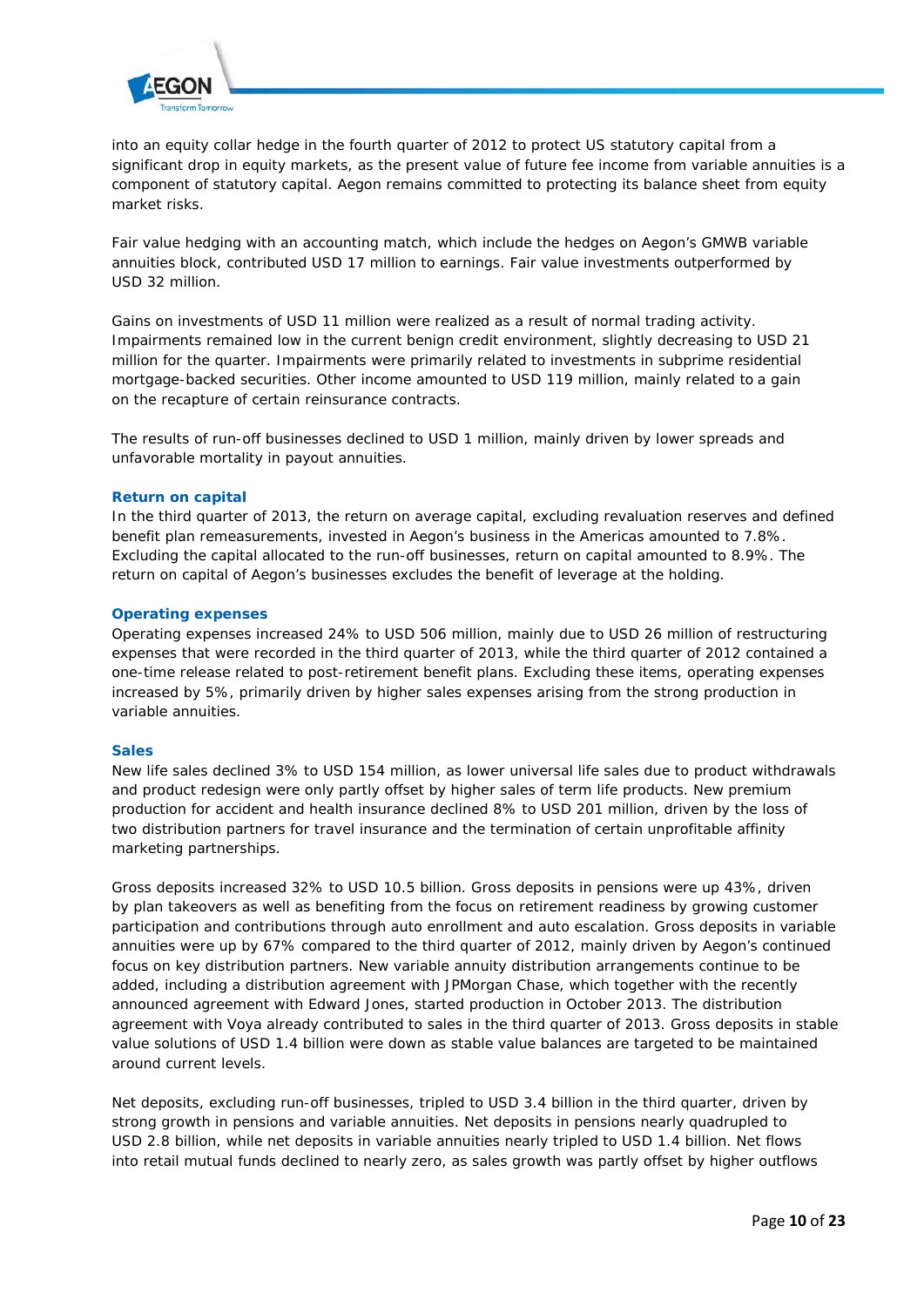

into an equity collar hedge in the fourth quarter of 2012 to protect US statutory capital from a significant drop in equity markets, as the present value of future fee income from variable annuities is a component of statutory capital. Aegon remains committed to protecting its balance sheet from equity market risks.

Fair value hedging with an accounting match, which include the hedges on Aegon's GMWB variable annuities block, contributed USD 17 million to earnings. Fair value investments outperformed by USD 32 million.

Gains on investments of USD 11 million were realized as a result of normal trading activity. Impairments remained low in the current benign credit environment, slightly decreasing to USD 21 million for the quarter. Impairments were primarily related to investments in subprime residential mortgage-backed securities. Other income amounted to USD 119 million, mainly related to a gain on the recapture of certain reinsurance contracts.

The results of run-off businesses declined to USD 1 million, mainly driven by lower spreads and unfavorable mortality in payout annuities.

### **Return on capital**

In the third quarter of 2013, the return on average capital, excluding revaluation reserves and defined benefit plan remeasurements, invested in Aegon's business in the Americas amounted to 7.8%. Excluding the capital allocated to the run-off businesses, return on capital amounted to 8.9%. The return on capital of Aegon's businesses excludes the benefit of leverage at the holding.

### **Operating expenses**

Operating expenses increased 24% to USD 506 million, mainly due to USD 26 million of restructuring expenses that were recorded in the third quarter of 2013, while the third quarter of 2012 contained a one-time release related to post-retirement benefit plans. Excluding these items, operating expenses increased by 5%, primarily driven by higher sales expenses arising from the strong production in variable annuities.

#### **Sales**

New life sales declined 3% to USD 154 million, as lower universal life sales due to product withdrawals and product redesign were only partly offset by higher sales of term life products. New premium production for accident and health insurance declined 8% to USD 201 million, driven by the loss of two distribution partners for travel insurance and the termination of certain unprofitable affinity marketing partnerships.

Gross deposits increased 32% to USD 10.5 billion. Gross deposits in pensions were up 43%, driven by plan takeovers as well as benefiting from the focus on retirement readiness by growing customer participation and contributions through auto enrollment and auto escalation. Gross deposits in variable annuities were up by 67% compared to the third quarter of 2012, mainly driven by Aegon's continued focus on key distribution partners. New variable annuity distribution arrangements continue to be added, including a distribution agreement with JPMorgan Chase, which together with the recently announced agreement with Edward Jones, started production in October 2013. The distribution agreement with Voya already contributed to sales in the third quarter of 2013. Gross deposits in stable value solutions of USD 1.4 billion were down as stable value balances are targeted to be maintained around current levels.

Net deposits, excluding run-off businesses, tripled to USD 3.4 billion in the third quarter, driven by strong growth in pensions and variable annuities. Net deposits in pensions nearly quadrupled to USD 2.8 billion, while net deposits in variable annuities nearly tripled to USD 1.4 billion. Net flows into retail mutual funds declined to nearly zero, as sales growth was partly offset by higher outflows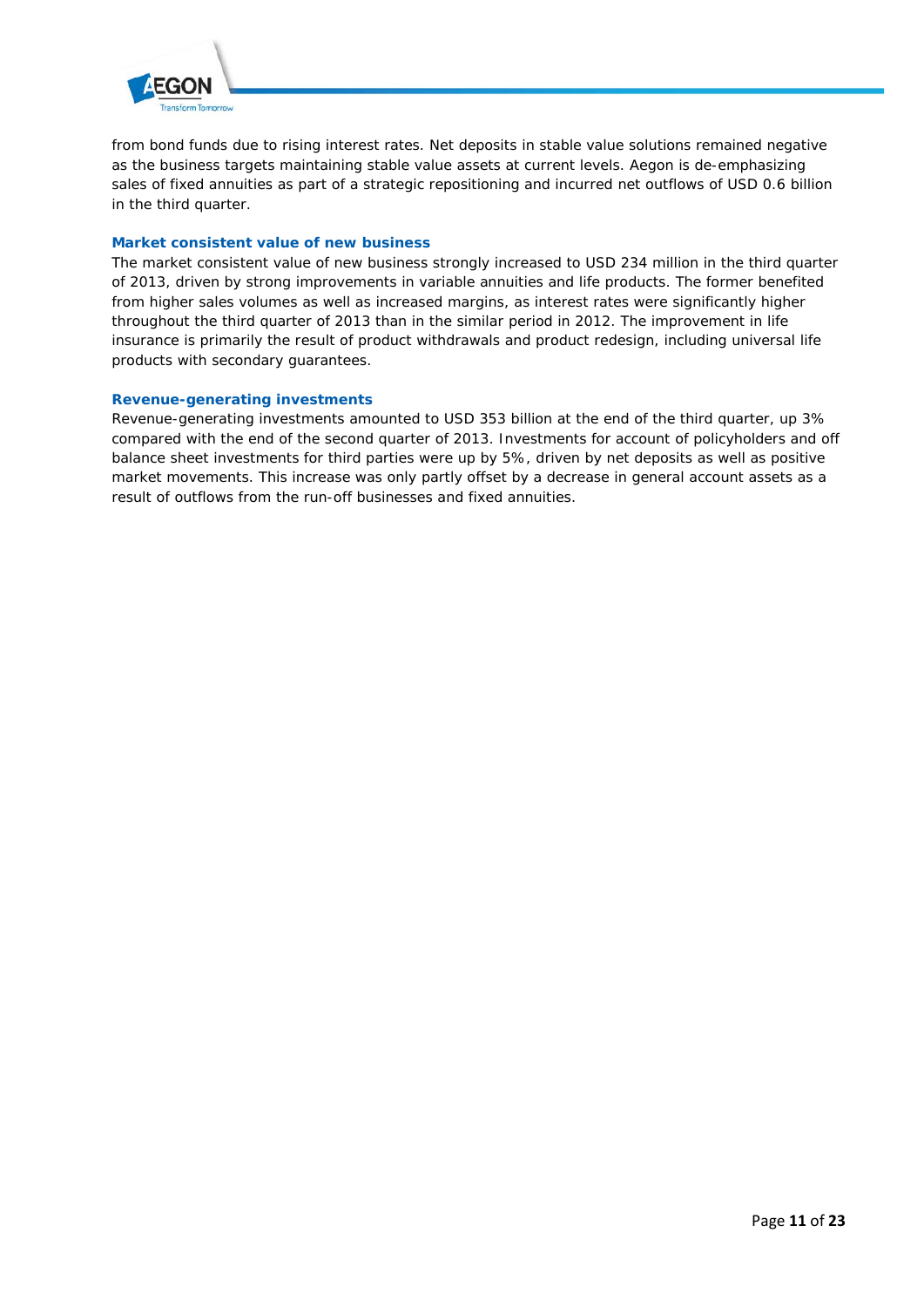

from bond funds due to rising interest rates. Net deposits in stable value solutions remained negative as the business targets maintaining stable value assets at current levels. Aegon is de-emphasizing sales of fixed annuities as part of a strategic repositioning and incurred net outflows of USD 0.6 billion in the third quarter.

# **Market consistent value of new business**

The market consistent value of new business strongly increased to USD 234 million in the third quarter of 2013, driven by strong improvements in variable annuities and life products. The former benefited from higher sales volumes as well as increased margins, as interest rates were significantly higher throughout the third quarter of 2013 than in the similar period in 2012. The improvement in life insurance is primarily the result of product withdrawals and product redesign, including universal life products with secondary guarantees.

# **Revenue-generating investments**

Revenue-generating investments amounted to USD 353 billion at the end of the third quarter, up 3% compared with the end of the second quarter of 2013. Investments for account of policyholders and off balance sheet investments for third parties were up by 5%, driven by net deposits as well as positive market movements. This increase was only partly offset by a decrease in general account assets as a result of outflows from the run-off businesses and fixed annuities.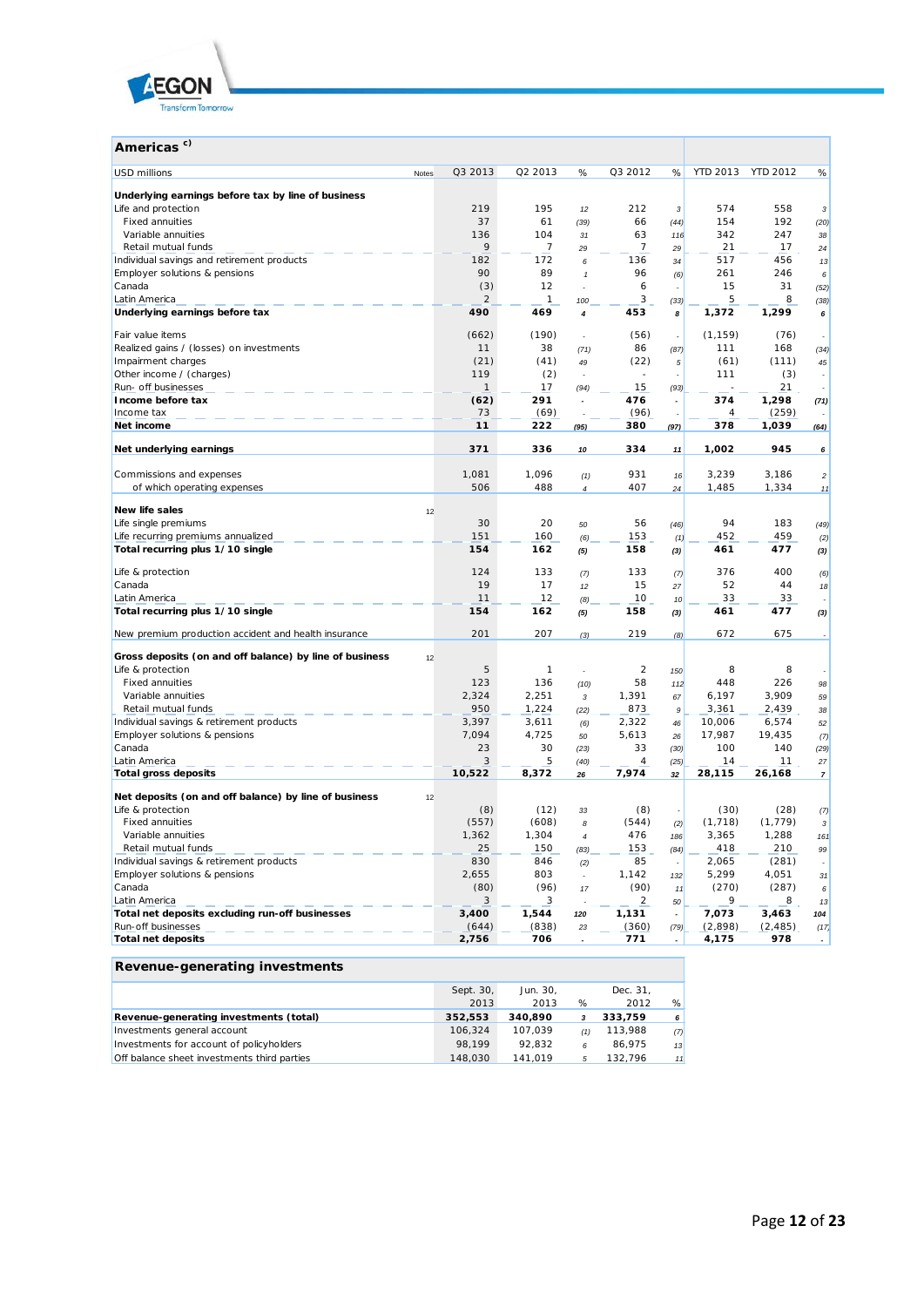

| Americas <sup>c)</sup>                                  |       |              |                |              |                          |                          |                 |                 |                  |
|---------------------------------------------------------|-------|--------------|----------------|--------------|--------------------------|--------------------------|-----------------|-----------------|------------------|
| <b>USD millions</b>                                     | Notes | Q3 2013      | Q2 2013        | %            | Q3 2012                  | %                        | <b>YTD 2013</b> | <b>YTD 2012</b> | %                |
| Underlying earnings before tax by line of business      |       |              |                |              |                          |                          |                 |                 |                  |
| Life and protection                                     |       | 219          | 195            | 12           | 212                      | 3                        | 574             | 558             | 3                |
| <b>Fixed annuities</b>                                  |       | 37           | 61             | (39)         | 66                       | (44)                     | 154             | 192             | (20)             |
| Variable annuities                                      |       | 136          | 104            | 31           | 63                       | 116                      | 342             | 247             | 38               |
| Retail mutual funds                                     |       | 9            | 7              | 29           | 7                        | 29                       | 21              | 17              | 24               |
| Individual savings and retirement products              |       | 182          | 172            | 6            | 136                      | 34                       | 517             | 456             | 13               |
| Employer solutions & pensions                           |       | 90           | 89             | $\mathbf{1}$ | 96                       | (6)                      | 261             | 246             | 6                |
| Canada                                                  |       | (3)          | 12             | ä,           | 6                        |                          | 15              | 31              | (52)             |
| Latin America                                           |       | 2            | 1              | 100          | 3                        | (33)                     | 5               | 8               | (38)             |
| Underlying earnings before tax                          |       | 490          | 469            | 4            | 453                      | 8                        | 1,372           | 1,299           | 6                |
| Fair value items                                        |       | (662)        | (190)          | ÷.           | (56)                     | ÷                        | (1, 159)        | (76)            |                  |
| Realized gains / (losses) on investments                |       | 11           | 38             | (71)         | 86                       | (87)                     | 111             | 168             | (34)             |
| Impairment charges                                      |       | (21)         | (41)           | 49           | (22)                     | 5                        | (61)            | (111)           | 45               |
| Other income / (charges)                                |       | 119          | (2)            |              | $\overline{\phantom{a}}$ |                          | 111             | (3)             |                  |
| Run- off businesses                                     |       | 1            | 17             | (94)         | 15                       | (93)                     |                 | 21              |                  |
| Income before tax                                       |       | (62)         | 291            |              | 476                      | $\overline{\phantom{a}}$ | 374             | 1,298           | (71)             |
| Income tax                                              |       | 73           | (69)           |              | (96)                     | $\overline{a}$           | 4               | (259)           |                  |
| Net income                                              |       | 11           | 222            | (95)         | 380                      | (97)                     | 378             | 1,039           | (64)             |
| Net underlying earnings                                 |       | 371          | 336            | 10           | 334                      | 11                       | 1,002           | 945             | 6                |
|                                                         |       | 1,081        | 1,096          |              | 931                      |                          | 3,239           | 3,186           |                  |
| Commissions and expenses<br>of which operating expenses |       | 506          | 488            | (1)<br>4     | 407                      | 16<br>24                 | 1,485           | 1,334           | $\sqrt{2}$<br>11 |
|                                                         |       |              |                |              |                          |                          |                 |                 |                  |
| New life sales                                          | 12    |              |                |              |                          |                          |                 |                 |                  |
| Life single premiums                                    |       | 30           | 20             | 50           | 56                       | (46)                     | 94              | 183             | (49)             |
| Life recurring premiums annualized                      |       | 151          | 160            | (6)          | 153                      | (1)                      | 452             | 459             | (2)              |
| Total recurring plus 1/10 single                        |       | 154          | 162            | (5)          | 158                      | (3)                      | 461             | 477             | (3)              |
| Life & protection                                       |       | 124          | 133            | (7)          | 133                      | (7)                      | 376             | 400             | (6)              |
| Canada                                                  |       | 19           | 17             | 12           | 15                       | 27                       | 52              | 44              | 18               |
| Latin America                                           |       | 11           | 12             | (8)          | 10                       | 10 <sup>1</sup>          | 33              | 33              |                  |
| Total recurring plus 1/10 single                        |       | 154          | 162            | (5)          | 158                      | (3)                      | 461             | 477             | (3)              |
| New premium production accident and health insurance    |       | 201          | 207            | (3)          | 219                      | (8)                      | 672             | 675             |                  |
|                                                         |       |              |                |              |                          |                          |                 |                 |                  |
| Gross deposits (on and off balance) by line of business | 12    |              |                |              |                          |                          |                 |                 |                  |
| Life & protection                                       |       | 5            | 1              |              | 2                        | 150                      | 8               | 8               |                  |
| <b>Fixed annuities</b>                                  |       | 123          | 136            | (10)         | 58                       | 112                      | 448             | 226             | 98               |
| Variable annuities<br>Retail mutual funds               |       | 2,324<br>950 | 2,251<br>1,224 | 3            | 1,391<br>873             | 67                       | 6,197<br>3,361  | 3,909<br>2,439  | 59               |
| Individual savings & retirement products                |       | 3,397        | 3,611          | (22)<br>(6)  | 2,322                    | 9<br>46                  | 10,006          | 6,574           | 38<br>52         |
| Employer solutions & pensions                           |       | 7,094        | 4,725          | 50           | 5,613                    | 26                       | 17,987          | 19,435          | (7)              |
| Canada                                                  |       | 23           | 30             | (23)         | 33                       | (30)                     | 100             | 140             | (29)             |
| Latin America                                           |       | 3            | 5              | (40)         | 4                        | (25)                     | 14              | 11              | 27               |
| <b>Total gross deposits</b>                             |       | 10,522       | 8,372          | 26           | 7,974                    | 32                       | 28,115          | 26,168          | $\overline{7}$   |
| Net deposits (on and off balance) by line of business   | 12    |              |                |              |                          |                          |                 |                 |                  |
| Life & protection                                       |       | (8)          | (12)           | 33           | (8)                      |                          | (30)            | (28)            | (7)              |
| <b>Fixed annuities</b>                                  |       | (557)        | (608)          | 8            | (544)                    | (2)                      | (1, 718)        | (1, 779)        | 3                |
| Variable annuities                                      |       | 1,362        | 1,304          | 4            | 476                      | 186                      | 3,365           | 1,288           | 161              |
| Retail mutual funds                                     |       | 25           | 150            | (83)         | 153                      | (84)                     | 418             | 210             | 99               |
| Individual savings & retirement products                |       | 830          | 846            | (2)          | 85                       |                          | 2,065           | (281)           |                  |
| Employer solutions & pensions                           |       | 2,655        | 803            | L.           | 1,142                    | 132                      | 5,299           | 4,051           | 31               |
| Canada                                                  |       | (80)         | (96)           | $17$         | (90)                     | 11                       | (270)           | (287)           | 6                |
| Latin America                                           |       | 3            | 3              |              | $\overline{a}$           | 50                       | 9               | 8               | 13               |
| Total net deposits excluding run-off businesses         |       | 3,400        | 1,544          | 120          | 1,131                    |                          | 7,073           | 3,463           | 104              |
| Run-off businesses                                      |       | (644)        | (838)          | 23           | (360)                    | (79)                     | (2,898)         | (2, 485)        | (17)             |
| <b>Total net deposits</b>                               |       | 2,756        | 706            |              | 771                      |                          | 4,175           | 978             |                  |

| Revenue-generating investments              |           |          |     |          |     |
|---------------------------------------------|-----------|----------|-----|----------|-----|
|                                             | Sept. 30, | Jun. 30, |     | Dec. 31, |     |
|                                             | 2013      | 2013     | %   | 2012     | %   |
| Revenue-generating investments (total)      | 352,553   | 340.890  | 3   | 333,759  | 6   |
| Investments general account                 | 106.324   | 107.039  | (1) | 113,988  | (7) |
| Investments for account of policyholders    | 98.199    | 92.832   | 6   | 86.975   | 13  |
| Off balance sheet investments third parties | 148,030   | 141,019  | 5   | 132.796  | 11  |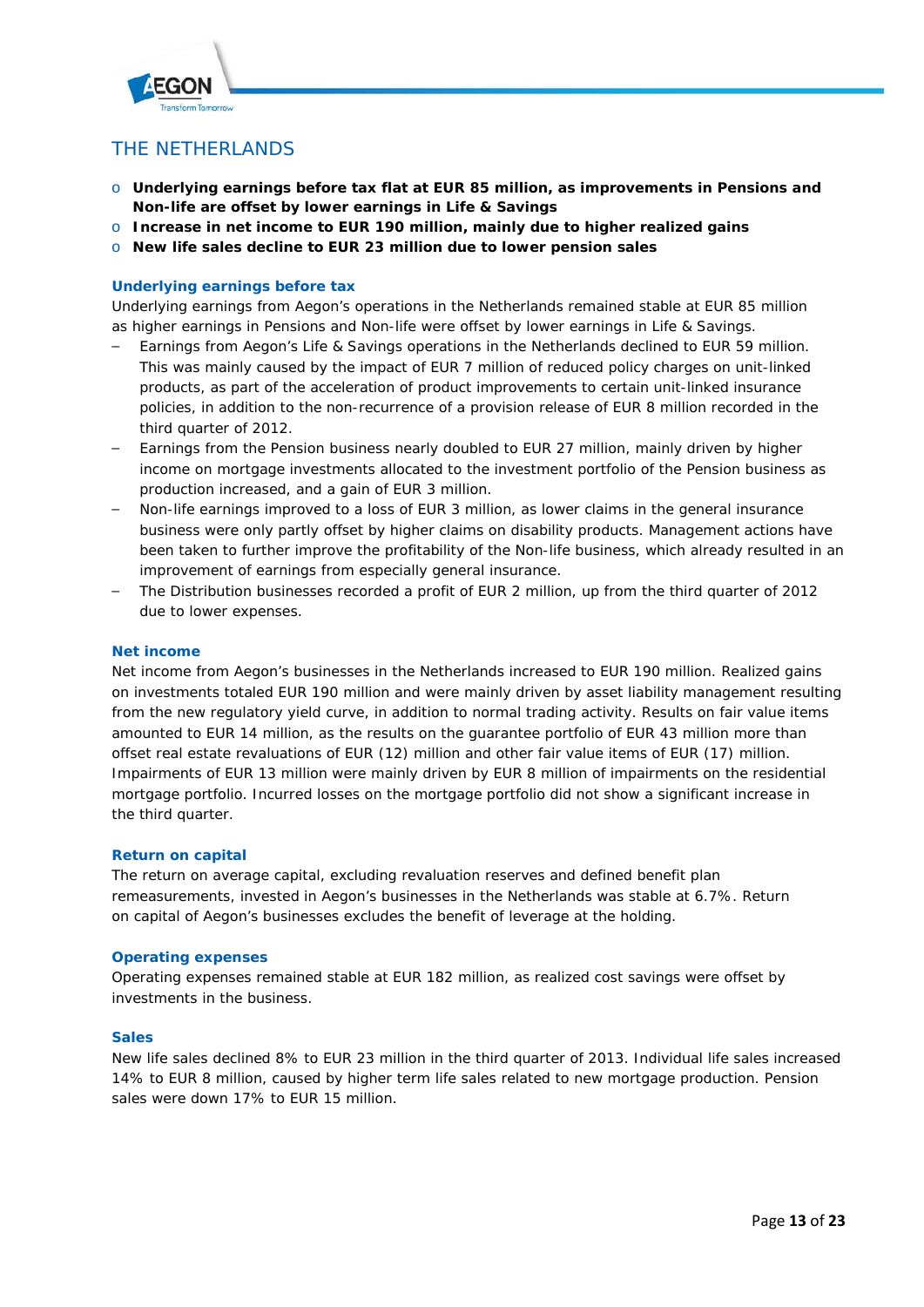

# THE NETHERLANDS

- o **Underlying earnings before tax flat at EUR 85 million, as improvements in Pensions and Non-life are offset by lower earnings in Life & Savings**
- o **Increase in net income to EUR 190 million, mainly due to higher realized gains**
- o **New life sales decline to EUR 23 million due to lower pension sales**

# **Underlying earnings before tax**

Underlying earnings from Aegon's operations in the Netherlands remained stable at EUR 85 million as higher earnings in Pensions and Non-life were offset by lower earnings in Life & Savings.

- Earnings from Aegon's Life & Savings operations in the Netherlands declined to EUR 59 million. This was mainly caused by the impact of EUR 7 million of reduced policy charges on unit-linked products, as part of the acceleration of product improvements to certain unit-linked insurance policies, in addition to the non-recurrence of a provision release of EUR 8 million recorded in the third quarter of 2012.
- Earnings from the Pension business nearly doubled to EUR 27 million, mainly driven by higher income on mortgage investments allocated to the investment portfolio of the Pension business as production increased, and a gain of EUR 3 million.
- Non-life earnings improved to a loss of EUR 3 million, as lower claims in the general insurance business were only partly offset by higher claims on disability products. Management actions have been taken to further improve the profitability of the Non-life business, which already resulted in an improvement of earnings from especially general insurance.
- The Distribution businesses recorded a profit of EUR 2 million, up from the third quarter of 2012 due to lower expenses.

#### **Net income**

Net income from Aegon's businesses in the Netherlands increased to EUR 190 million. Realized gains on investments totaled EUR 190 million and were mainly driven by asset liability management resulting from the new regulatory yield curve, in addition to normal trading activity. Results on fair value items amounted to EUR 14 million, as the results on the guarantee portfolio of EUR 43 million more than offset real estate revaluations of EUR (12) million and other fair value items of EUR (17) million. Impairments of EUR 13 million were mainly driven by EUR 8 million of impairments on the residential mortgage portfolio. Incurred losses on the mortgage portfolio did not show a significant increase in the third quarter.

# **Return on capital**

The return on average capital, excluding revaluation reserves and defined benefit plan remeasurements, invested in Aegon's businesses in the Netherlands was stable at 6.7%. Return on capital of Aegon's businesses excludes the benefit of leverage at the holding.

# **Operating expenses**

Operating expenses remained stable at EUR 182 million, as realized cost savings were offset by investments in the business.

# **Sales**

New life sales declined 8% to EUR 23 million in the third quarter of 2013. Individual life sales increased 14% to EUR 8 million, caused by higher term life sales related to new mortgage production. Pension sales were down 17% to EUR 15 million.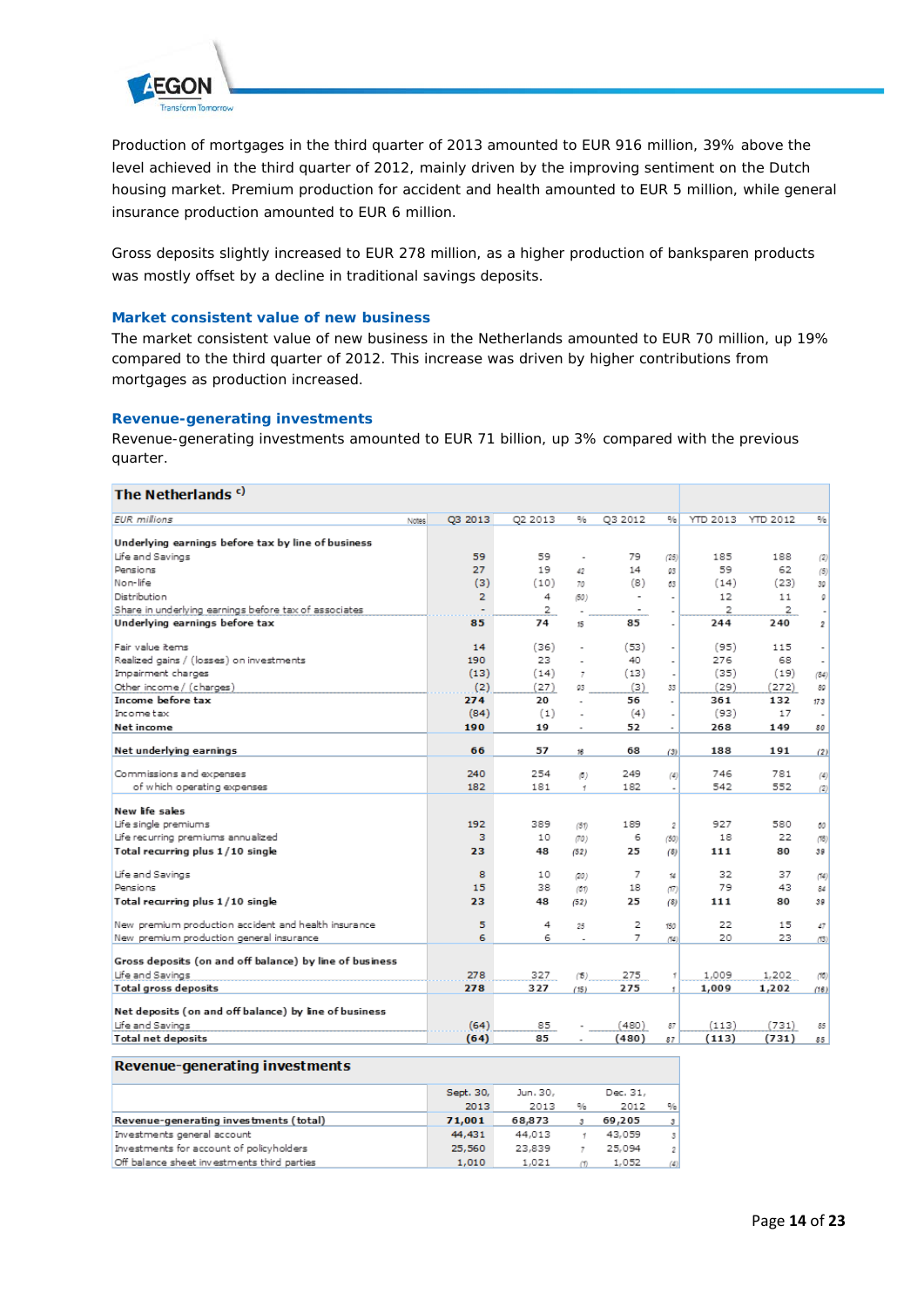

Production of mortgages in the third quarter of 2013 amounted to EUR 916 million, 39% above the level achieved in the third quarter of 2012, mainly driven by the improving sentiment on the Dutch housing market. Premium production for accident and health amounted to EUR 5 million, while general insurance production amounted to EUR 6 million.

Gross deposits slightly increased to EUR 278 million, as a higher production of *banksparen* products was mostly offset by a decline in traditional savings deposits.

#### **Market consistent value of new business**

The market consistent value of new business in the Netherlands amounted to EUR 70 million, up 19% compared to the third quarter of 2012. This increase was driven by higher contributions from mortgages as production increased.

### **Revenue-generating investments**

Revenue-generating investments amounted to EUR 71 billion, up 3% compared with the previous quarter.

| The Netherlands <sup>c)</sup>                           |                              |          |                |                |                       |          |          |                       |
|---------------------------------------------------------|------------------------------|----------|----------------|----------------|-----------------------|----------|----------|-----------------------|
| <b>EUR</b> millions                                     | Q3 2013<br>Notes <sup></sup> | Q2 2013  | %              | Q3 2012        | %                     | YTD 2013 | YTD 2012 | %                     |
| Underlying earnings before tax by line of business      |                              |          |                |                |                       |          |          |                       |
| Life and Savings                                        | 59                           | 59       |                | 79             | (25)                  | 185      | 188      | (2)                   |
| Pensions                                                | 27                           | 19       | 42             | 14             | 03                    | 59       | 62       | (5)                   |
| Non-life                                                | (3)                          | (10)     | 70             | (8)            | 63                    | (14)     | (23)     | 30                    |
| Distribution                                            | 2                            | 4        | (50)           | $\blacksquare$ |                       | 12       | 11       | ø                     |
| Share in underlying earnings before tax of associates   |                              | 2        |                |                | ٠                     | 2        | 2        | ٠l                    |
| Underlying earnings before tax                          | 85                           | 74       | 15             | 85             | ÷,                    | 244      | 240      | 2                     |
|                                                         |                              |          |                |                |                       |          |          |                       |
| Fair value items                                        | 14                           | (36)     |                | (53)           | $\tilde{\phantom{a}}$ | (95)     | 115      | $\tilde{\phantom{a}}$ |
| Realized gains / (losses) on investments                | 190                          | 23       |                | 40             |                       | 276      | 68       | ۰                     |
| Impairment charges                                      | (13)                         | (14)     | $\overline{7}$ | (13)           | ä,                    | (35)     | (19)     | (84)                  |
| Other income / (charges)                                | (2)                          | (27)     | 03             | (3)            | 33                    | (29)     | (272)    | 89                    |
| Income before tax                                       | 274                          | 20       | ÷              | 56             | ä,                    | 361      | 132      | 173                   |
| Income tax                                              | (84)                         | (1)      |                | (4)            |                       | (93)     | 17       | ٠                     |
| Net income                                              | 190                          | 19       | ÷              | 52             | ٠                     | 268      | 149      | 80                    |
|                                                         |                              |          |                |                |                       |          |          |                       |
| Net underlying earnings                                 | 66                           | 57       | 16             | 68             | (3)                   | 188      | 191      | (2)                   |
| Commissions and expenses                                | 240                          | 254      | (5)            | 249            | $^{(4)}$              | 746      | 781      | (4)                   |
| of which operating expenses                             | 182                          | 181      | $\mathcal{L}$  | 182            | ٠                     | 542      | 552      | (2)                   |
| New life sales                                          |                              |          |                |                |                       |          |          |                       |
| Life single premiums                                    | 192                          | 389      | (51)           | 189            | 2                     | 927      | 580      | 60                    |
| Life recurring premiums annualized                      | з                            | 10       | (70)           | 6              | (50)                  | 18       | 22       | (78)                  |
| Total recurring plus 1/10 single                        | 23                           | 48       | (52)           | 25             | (8)                   | 111      | 80       | 39                    |
|                                                         | 8                            |          |                |                |                       | 32       |          |                       |
| Life and Savings<br>Pensions                            | 15                           | 10<br>38 | (20)           | 7<br>18        | 14                    | 79       | 37<br>43 | (14)                  |
|                                                         |                              |          | (01)           |                | (77)                  |          |          | 84                    |
| Total recurring plus 1/10 single                        | 23                           | 48       | (52)           | 25             | (8)                   | 111      | 80       | 39                    |
| New premium production accident and health insurance    | 5                            | 4        | 25             | 2              | 150                   | 22       | 15       | 47                    |
| New premium production general insurance                | 6                            | 6        |                | 7              | (74)                  | 20       | 23       | (13)                  |
|                                                         |                              |          |                |                |                       |          |          |                       |
| Gross deposits (on and off balance) by line of business |                              |          |                |                |                       |          |          |                       |
| Life and Savings                                        | 278                          | 327      | (5)            | 275            | 1                     | 1,009    | 1,202    | (10)                  |
| <b>Total gross deposits</b>                             | 278                          | 327      | (15)           | 275            | $\mathbf{1}$          | 1,009    | 1,202    | (16)                  |
| Net deposits (on and off balance) by line of business   |                              |          |                |                |                       |          |          |                       |
| Life and Savings                                        | (64)                         | 85       |                | (480)          | 87                    | (113)    | (731)    | 85                    |
| <b>Total net deposits</b>                               | (64)                         | 85       |                | (480)          | 87                    | (113)    | (731)    | 85                    |

#### Revenue-generating investments

|                                             | Sept. 30. | Jun. 30, |   | Dec. 31, |     |
|---------------------------------------------|-----------|----------|---|----------|-----|
|                                             | 2013      | 2013     | % | 2012     | %   |
| Revenue-generating investments (total)      | 71,001    | 68,873   |   | 69,205   |     |
| Investments general account                 | 44,431    | 44,013   |   | 43.059   | 3   |
| Investments for account of policyholders    | 25,560    | 23.839   |   | 25.094   | 2   |
| Off balance sheet investments third parties | 1,010     | 1,021    |   | 1,052    | (4) |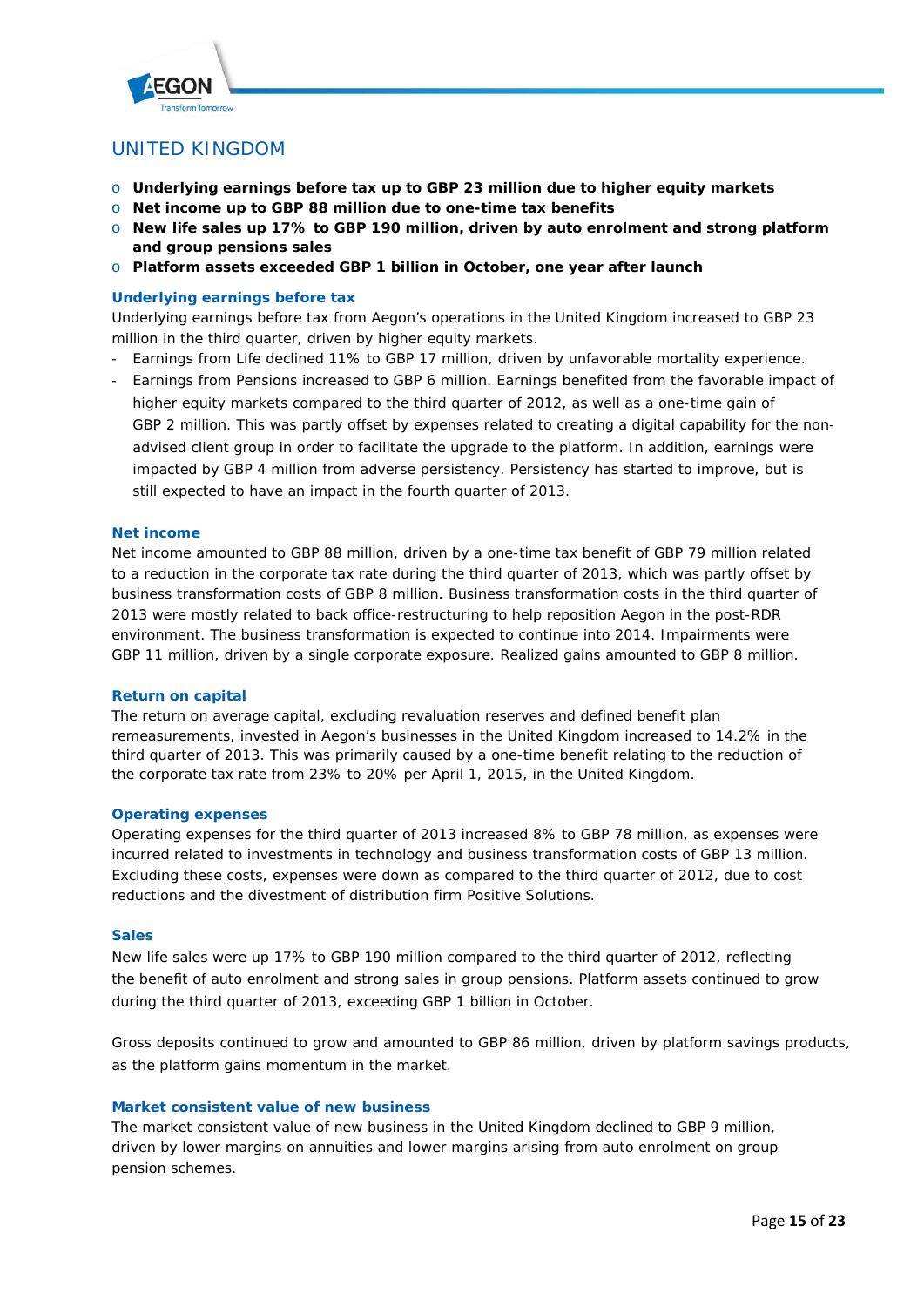

# UNITED KINGDOM

- o **Underlying earnings before tax up to GBP 23 million due to higher equity markets**
- o **Net income up to GBP 88 million due to one-time tax benefits**
- o **New life sales up 17% to GBP 190 million, driven by auto enrolment and strong platform and group pensions sales**
- o **Platform assets exceeded GBP 1 billion in October, one year after launch**

# **Underlying earnings before tax**

Underlying earnings before tax from Aegon's operations in the United Kingdom increased to GBP 23 million in the third quarter, driven by higher equity markets.

- Earnings from Life declined 11% to GBP 17 million, driven by unfavorable mortality experience.
- Earnings from Pensions increased to GBP 6 million. Earnings benefited from the favorable impact of higher equity markets compared to the third quarter of 2012, as well as a one-time gain of GBP 2 million. This was partly offset by expenses related to creating a digital capability for the nonadvised client group in order to facilitate the upgrade to the platform. In addition, earnings were impacted by GBP 4 million from adverse persistency. Persistency has started to improve, but is still expected to have an impact in the fourth quarter of 2013.

#### **Net income**

Net income amounted to GBP 88 million, driven by a one-time tax benefit of GBP 79 million related to a reduction in the corporate tax rate during the third quarter of 2013, which was partly offset by business transformation costs of GBP 8 million. Business transformation costs in the third quarter of 2013 were mostly related to back office-restructuring to help reposition Aegon in the post-RDR environment. The business transformation is expected to continue into 2014. Impairments were GBP 11 million, driven by a single corporate exposure. Realized gains amounted to GBP 8 million.

#### **Return on capital**

The return on average capital, excluding revaluation reserves and defined benefit plan remeasurements, invested in Aegon's businesses in the United Kingdom increased to 14.2% in the third quarter of 2013. This was primarily caused by a one-time benefit relating to the reduction of the corporate tax rate from 23% to 20% per April 1, 2015, in the United Kingdom.

#### **Operating expenses**

Operating expenses for the third quarter of 2013 increased 8% to GBP 78 million, as expenses were incurred related to investments in technology and business transformation costs of GBP 13 million. Excluding these costs, expenses were down as compared to the third quarter of 2012, due to cost reductions and the divestment of distribution firm Positive Solutions.

#### **Sales**

New life sales were up 17% to GBP 190 million compared to the third quarter of 2012, reflecting the benefit of auto enrolment and strong sales in group pensions. Platform assets continued to grow during the third quarter of 2013, exceeding GBP 1 billion in October.

Gross deposits continued to grow and amounted to GBP 86 million, driven by platform savings products, as the platform gains momentum in the market.

#### **Market consistent value of new business**

The market consistent value of new business in the United Kingdom declined to GBP 9 million, driven by lower margins on annuities and lower margins arising from auto enrolment on group pension schemes.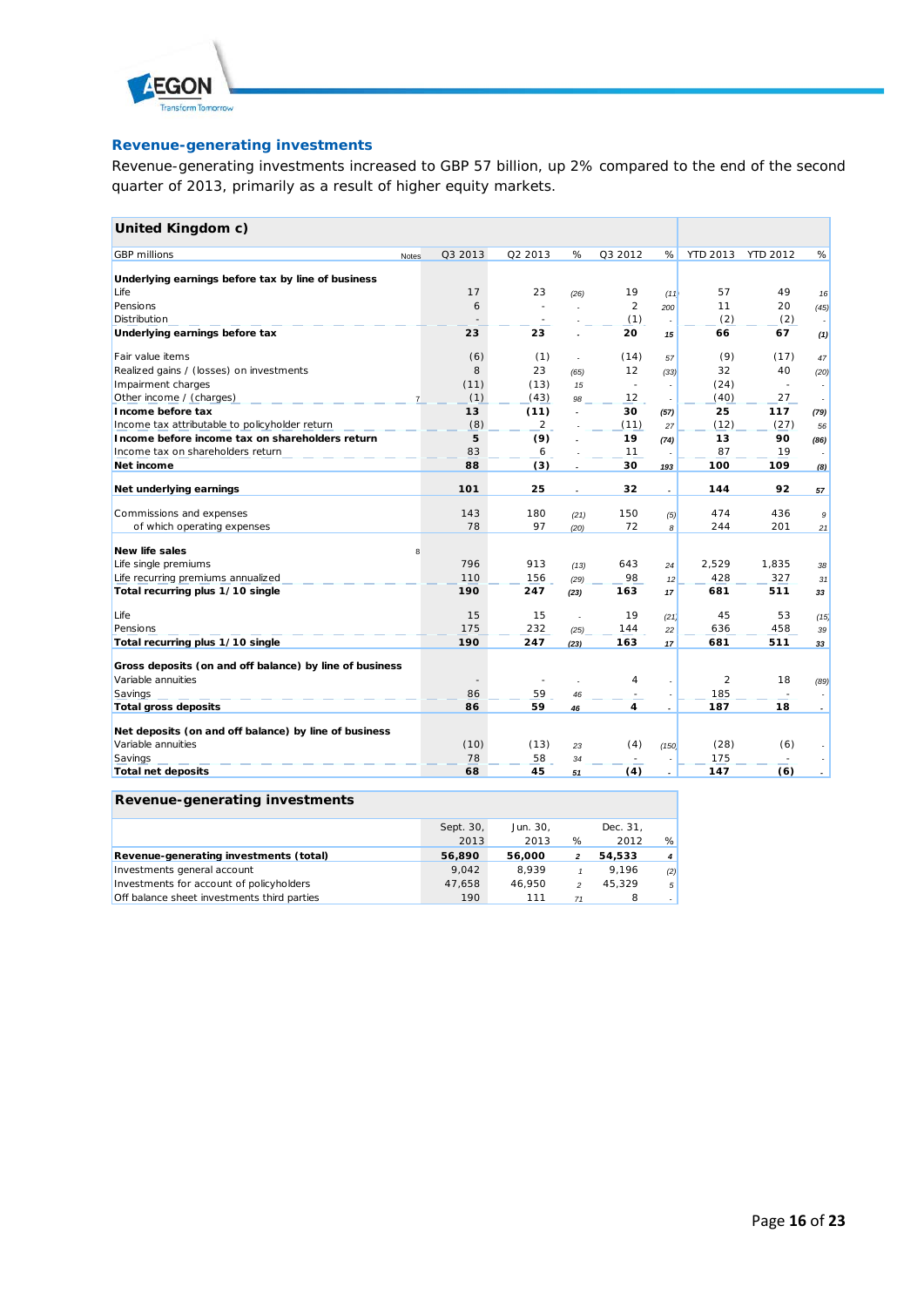

# **Revenue-generating investments**

Revenue-generating investments increased to GBP 57 billion, up 2% compared to the end of the second quarter of 2013, primarily as a result of higher equity markets.

| United Kingdom c)                                       |          |                |                          |                |                          |          |                          |            |
|---------------------------------------------------------|----------|----------------|--------------------------|----------------|--------------------------|----------|--------------------------|------------|
| <b>GBP</b> millions<br><b>Notes</b>                     | Q3 2013  | Q2 2013        | %                        | Q3 2012        | %                        | YTD 2013 | <b>YTD 2012</b>          | %          |
| Underlying earnings before tax by line of business      |          |                |                          |                |                          |          |                          |            |
| Life                                                    | 17       | 23             | (26)                     | 19             |                          | 57       | 49                       |            |
| Pensions                                                | 6        | $\sim$         |                          | $\overline{2}$ | (11)<br>200              | 11       | 20                       | 16<br>(45) |
| Distribution                                            |          |                |                          | (1)            |                          | (2)      | (2)                      |            |
| Underlying earnings before tax                          | 23       | 23             |                          | 20             | 15                       | 66       | 67                       | (1)        |
|                                                         |          |                |                          |                |                          |          |                          |            |
| Fair value items                                        | (6)      | (1)            | ÷                        | (14)           | 57                       | (9)      | (17)                     | 47         |
| Realized gains / (losses) on investments                | 8        | 23             | (65)                     | 12             | (33)                     | 32       | 40                       | (20)       |
| Impairment charges                                      | (11)     | (13)           | 15                       | $\sim$         |                          | (24)     | $\overline{\phantom{a}}$ |            |
| Other income / (charges)                                | (1)      | (43)           | 98                       | 12             | ÷                        | (40)     | 27                       |            |
| Income before tax                                       | 13       | (11)           | $\overline{a}$           | 30             | (57)                     | 25       | 117                      | (79)       |
| Income tax attributable to policyholder return          | (8)      | $\overline{a}$ |                          | (11)           | 27                       | (12)     | (27)                     | 56         |
| Income before income tax on shareholders return         | 5        | (9)            |                          | 19             | (74)                     | 13       | 90                       | (86)       |
| Income tax on shareholders return                       | 83       | 6              |                          | 11             |                          | 87       | 19                       |            |
| Net income                                              | 88       | (3)            |                          | 30             | 193                      | 100      | 109                      | (8)        |
| Net underlying earnings                                 | 101      | 25             | $\overline{\phantom{a}}$ | 32             | $\overline{\phantom{a}}$ | 144      | 92                       | 57         |
| Commissions and expenses                                | 143      | 180            | (21)                     | 150            | (5)                      | 474      | 436                      | 9          |
| of which operating expenses                             | 78       | 97             | (20)                     | 72             | 8                        | 244      | 201                      | 21         |
| <b>New life sales</b>                                   |          |                |                          |                |                          |          |                          |            |
| Life single premiums                                    | R<br>796 | 913            |                          | 643            |                          | 2,529    | 1,835                    |            |
| Life recurring premiums annualized                      | 110      | 156            | (13)                     | 98             | 24                       | 428      | 327                      | 38         |
| Total recurring plus 1/10 single                        | 190      | 247            | (29)<br>(23)             | 163            | 12<br>17                 | 681      | 511                      | 31<br>33   |
|                                                         |          |                |                          |                |                          |          |                          |            |
| Life                                                    | 15       | 15             |                          | 19             | (21)                     | 45       | 53                       | (15)       |
| Pensions                                                | 175      | 232            | (25)                     | 144            | 22                       | 636      | 458                      | 39         |
| Total recurring plus 1/10 single                        | 190      | 247            | (23)                     | 163            | 17                       | 681      | 511                      | 33         |
| Gross deposits (on and off balance) by line of business |          |                |                          |                |                          |          |                          |            |
| Variable annuities                                      |          |                |                          | 4              |                          | 2        | 18                       | (89)       |
| Savings                                                 | 86       | 59             | 46                       |                |                          | 185      |                          |            |
| <b>Total gross deposits</b>                             | 86       | 59             | 46                       | 4              |                          | 187      | 18                       |            |
| Net deposits (on and off balance) by line of business   |          |                |                          |                |                          |          |                          |            |
| Variable annuities                                      | (10)     | (13)           | 23                       | (4)            | (150)                    | (28)     | (6)                      |            |
| Savings                                                 | 78       | 58             | 34                       |                |                          | 175      |                          |            |
| Total net deposits                                      | 68       | 45             | 51                       | (4)            | ٠                        | 147      | (6)                      |            |

## **Revenue-generating investments**

|                                             | Sept. 30, | Jun. 30. |                | Dec. 31. |                |
|---------------------------------------------|-----------|----------|----------------|----------|----------------|
|                                             | 2013      | 2013     | %              | 2012     | %              |
| Revenue-generating investments (total)      | 56.890    | 56,000   | 2              | 54.533   | $\overline{4}$ |
| Investments general account                 | 9.042     | 8.939    |                | 9.196    | (2)            |
| Investments for account of policyholders    | 47.658    | 46.950   | $\mathfrak{p}$ | 45.329   | 5 <sup>1</sup> |
| Off balance sheet investments third parties | 190       | 111      | 71             |          |                |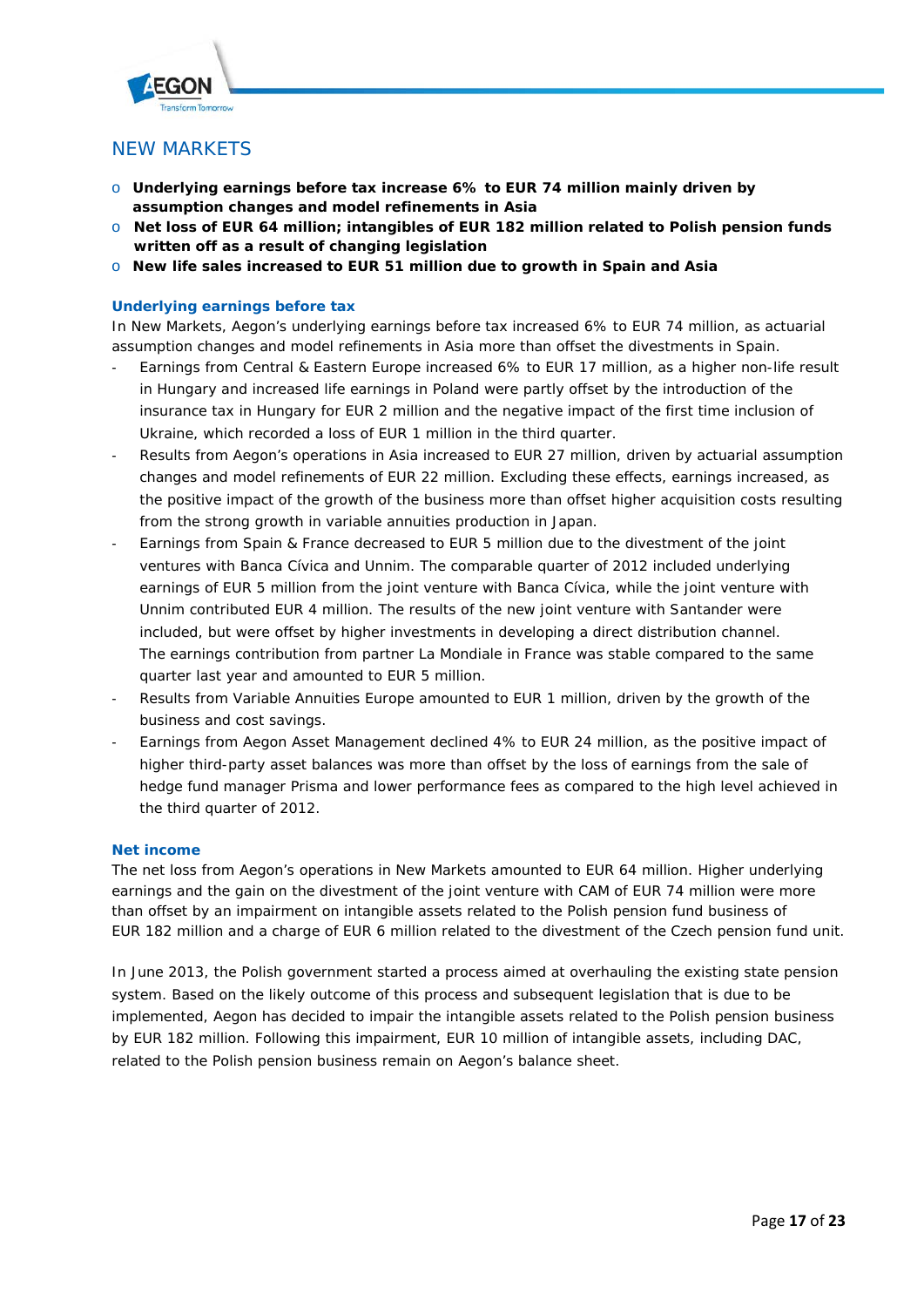

# NEW MARKETS

- o **Underlying earnings before tax increase 6% to EUR 74 million mainly driven by assumption changes and model refinements in Asia**
- o **Net loss of EUR 64 million; intangibles of EUR 182 million related to Polish pension funds written off as a result of changing legislation**
- o **New life sales increased to EUR 51 million due to growth in Spain and Asia**

# **Underlying earnings before tax**

In New Markets, Aegon's underlying earnings before tax increased 6% to EUR 74 million, as actuarial assumption changes and model refinements in Asia more than offset the divestments in Spain.

- Earnings from Central & Eastern Europe increased 6% to EUR 17 million, as a higher non-life result in Hungary and increased life earnings in Poland were partly offset by the introduction of the insurance tax in Hungary for EUR 2 million and the negative impact of the first time inclusion of Ukraine, which recorded a loss of EUR 1 million in the third quarter.
- Results from Aegon's operations in Asia increased to EUR 27 million, driven by actuarial assumption changes and model refinements of EUR 22 million. Excluding these effects, earnings increased, as the positive impact of the growth of the business more than offset higher acquisition costs resulting from the strong growth in variable annuities production in Japan.
- Earnings from Spain & France decreased to EUR 5 million due to the divestment of the joint ventures with Banca Cívica and Unnim. The comparable quarter of 2012 included underlying earnings of EUR 5 million from the joint venture with Banca Cívica, while the joint venture with Unnim contributed EUR 4 million. The results of the new joint venture with Santander were included, but were offset by higher investments in developing a direct distribution channel. The earnings contribution from partner La Mondiale in France was stable compared to the same quarter last year and amounted to EUR 5 million.
- Results from Variable Annuities Europe amounted to EUR 1 million, driven by the growth of the business and cost savings.
- Earnings from Aegon Asset Management declined 4% to EUR 24 million, as the positive impact of higher third-party asset balances was more than offset by the loss of earnings from the sale of hedge fund manager Prisma and lower performance fees as compared to the high level achieved in the third quarter of 2012.

# **Net income**

The net loss from Aegon's operations in New Markets amounted to EUR 64 million. Higher underlying earnings and the gain on the divestment of the joint venture with CAM of EUR 74 million were more than offset by an impairment on intangible assets related to the Polish pension fund business of EUR 182 million and a charge of EUR 6 million related to the divestment of the Czech pension fund unit.

In June 2013, the Polish government started a process aimed at overhauling the existing state pension system. Based on the likely outcome of this process and subsequent legislation that is due to be implemented, Aegon has decided to impair the intangible assets related to the Polish pension business by EUR 182 million. Following this impairment, EUR 10 million of intangible assets, including DAC, related to the Polish pension business remain on Aegon's balance sheet.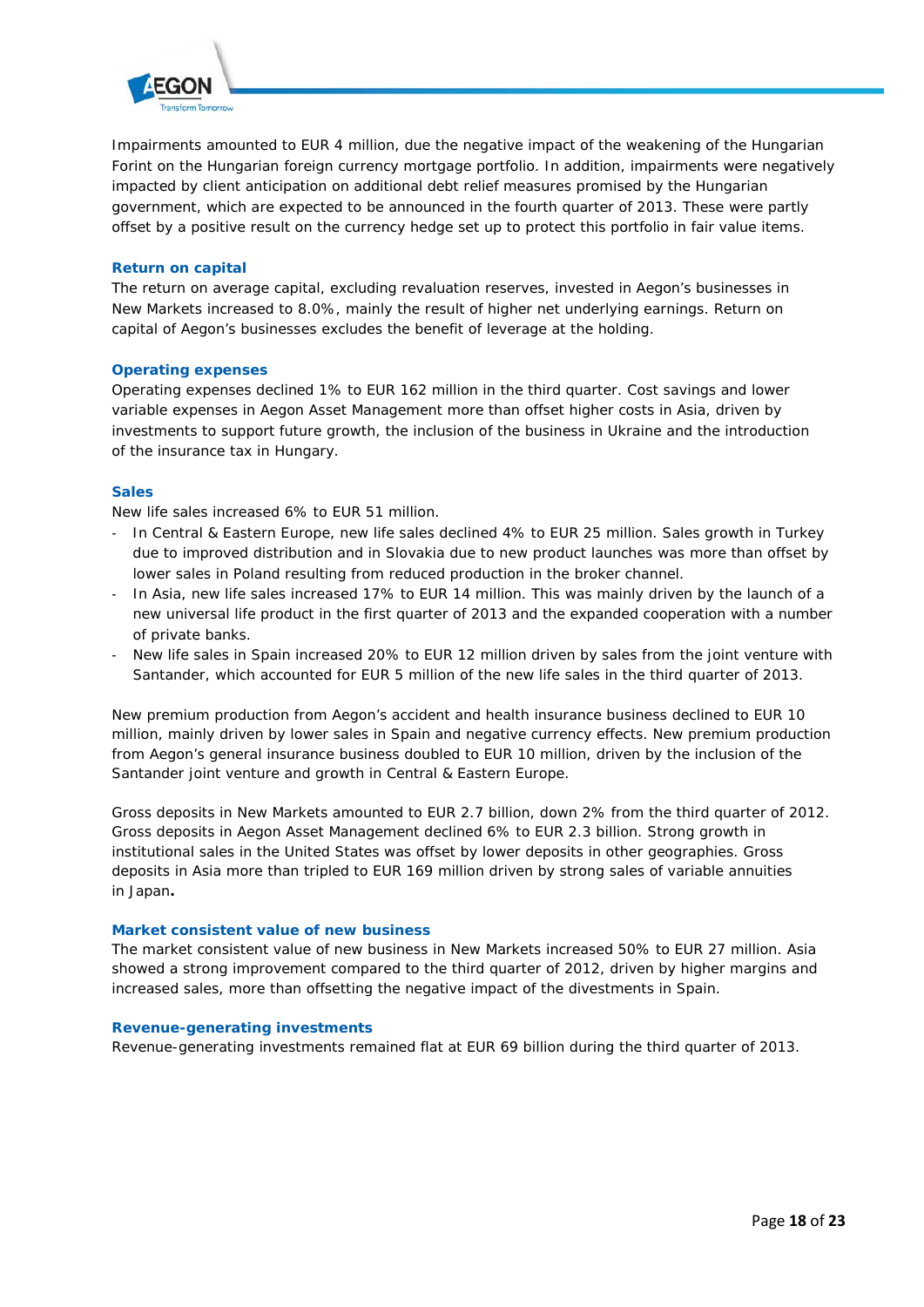

Impairments amounted to EUR 4 million, due the negative impact of the weakening of the Hungarian Forint on the Hungarian foreign currency mortgage portfolio. In addition, impairments were negatively impacted by client anticipation on additional debt relief measures promised by the Hungarian government, which are expected to be announced in the fourth quarter of 2013. These were partly offset by a positive result on the currency hedge set up to protect this portfolio in fair value items.

# **Return on capital**

The return on average capital, excluding revaluation reserves, invested in Aegon's businesses in New Markets increased to 8.0%, mainly the result of higher net underlying earnings. Return on capital of Aegon's businesses excludes the benefit of leverage at the holding.

### **Operating expenses**

Operating expenses declined 1% to EUR 162 million in the third quarter. Cost savings and lower variable expenses in Aegon Asset Management more than offset higher costs in Asia, driven by investments to support future growth, the inclusion of the business in Ukraine and the introduction of the insurance tax in Hungary.

### **Sales**

New life sales increased 6% to EUR 51 million.

- In Central & Eastern Europe, new life sales declined 4% to EUR 25 million. Sales growth in Turkey due to improved distribution and in Slovakia due to new product launches was more than offset by lower sales in Poland resulting from reduced production in the broker channel.
- In Asia, new life sales increased 17% to EUR 14 million. This was mainly driven by the launch of a new universal life product in the first quarter of 2013 and the expanded cooperation with a number of private banks.
- New life sales in Spain increased 20% to EUR 12 million driven by sales from the joint venture with Santander, which accounted for EUR 5 million of the new life sales in the third quarter of 2013.

New premium production from Aegon's accident and health insurance business declined to EUR 10 million, mainly driven by lower sales in Spain and negative currency effects. New premium production from Aegon's general insurance business doubled to EUR 10 million, driven by the inclusion of the Santander joint venture and growth in Central & Eastern Europe.

Gross deposits in New Markets amounted to EUR 2.7 billion, down 2% from the third quarter of 2012. Gross deposits in Aegon Asset Management declined 6% to EUR 2.3 billion. Strong growth in institutional sales in the United States was offset by lower deposits in other geographies. Gross deposits in Asia more than tripled to EUR 169 million driven by strong sales of variable annuities in Japan**.**

## **Market consistent value of new business**

The market consistent value of new business in New Markets increased 50% to EUR 27 million. Asia showed a strong improvement compared to the third quarter of 2012, driven by higher margins and increased sales, more than offsetting the negative impact of the divestments in Spain.

#### **Revenue-generating investments**

Revenue-generating investments remained flat at EUR 69 billion during the third quarter of 2013.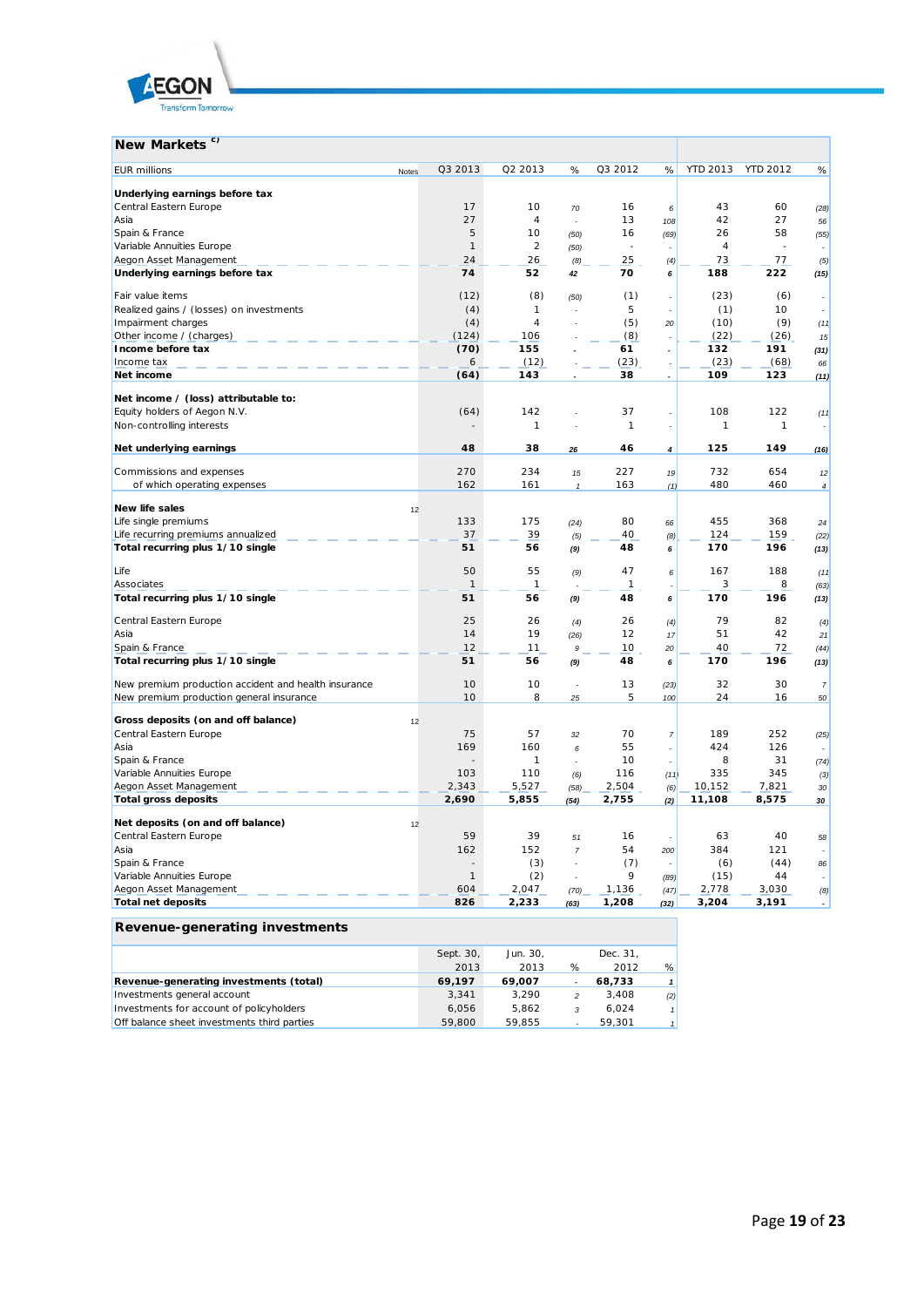

| New Markets <sup>c)</sup>                            |       |              |                            |                      |                            |                          |                 |                            |                          |
|------------------------------------------------------|-------|--------------|----------------------------|----------------------|----------------------------|--------------------------|-----------------|----------------------------|--------------------------|
| <b>EUR millions</b>                                  | Notes | Q3 2013      | Q2 2013                    | %                    | Q3 2012                    | %                        | <b>YTD 2013</b> | <b>YTD 2012</b>            | %                        |
| Underlying earnings before tax                       |       |              |                            |                      |                            |                          |                 |                            |                          |
| Central Eastern Europe                               |       | 17           | 10                         | 70                   | 16                         | 6                        | 43              | 60                         | (28)                     |
| Asia                                                 |       | 27           | $\overline{4}$             | ÷,                   | 13                         | 108                      | 42              | 27                         | 56                       |
| Spain & France                                       |       | 5            | 10                         | (50)                 | 16                         | (69)                     | 26              | 58                         | (55)                     |
| Variable Annuities Europe                            |       | $\mathbf{1}$ | $\overline{2}$             | (50)                 | ×,                         |                          | $\overline{4}$  | J.                         |                          |
| Aegon Asset Management                               |       | 24           | 26                         | (8)                  | 25                         | (4)                      | 73              | 77                         | (5)                      |
| Underlying earnings before tax                       |       | 74           | 52                         | 42                   | 70                         | 6                        | 188             | 222                        | (15)                     |
| Fair value items                                     |       | (12)         | (8)                        | (50)                 | (1)                        | ÷,                       | (23)            | (6)                        |                          |
| Realized gains / (losses) on investments             |       | (4)          | $\mathbf{1}$               |                      | 5                          | $\overline{a}$           | (1)             | 10 <sup>1</sup>            |                          |
| Impairment charges                                   |       | (4)          | $\overline{4}$             |                      | (5)                        | 20                       | (10)            | (9)                        | (11)                     |
| Other income / (charges)                             |       | (124)        | 106                        |                      | (8)                        | $\overline{a}$           | (22)            | (26)                       | 15                       |
| Income before tax                                    |       | (70)         | 155                        |                      | 61                         | $\overline{a}$           | 132             | 191                        | (31)                     |
| Income tax                                           |       | 6            | (12)                       |                      | (23)                       | $\overline{a}$           | (23)            | (68)                       | 66                       |
| Net income                                           |       | (64)         | 143                        |                      | 38                         | $\overline{a}$           | 109             | 123                        | (11)                     |
| Net income / (loss) attributable to:                 |       |              |                            |                      |                            |                          |                 |                            |                          |
| Equity holders of Aegon N.V.                         |       | (64)         | 142                        |                      | 37                         |                          | 108             | 122                        | (11)                     |
| Non-controlling interests                            |       |              | $\boldsymbol{\mathcal{I}}$ |                      | $\boldsymbol{\mathcal{I}}$ | $\overline{\phantom{a}}$ | 1               | $\boldsymbol{\mathcal{I}}$ |                          |
| Net underlying earnings                              |       | 48           | 38                         | 26                   | 46                         | 4                        | 125             | 149                        | (16)                     |
| Commissions and expenses                             |       | 270          | 234                        | 15                   | 227                        | 19                       | 732             | 654                        | 12                       |
| of which operating expenses                          |       | 162          | 161                        | $\mathbf{1}$         | 163                        | (1)                      | 480             | 460                        | $\overline{4}$           |
|                                                      |       |              |                            |                      |                            |                          |                 |                            |                          |
| New life sales                                       | 12    |              |                            |                      |                            |                          |                 |                            |                          |
| Life single premiums                                 |       | 133          | 175                        | (24)                 | 80                         | 66                       | 455             | 368                        | 24                       |
| Life recurring premiums annualized                   |       | 37           | 39                         | (5)                  | 40                         | (8)                      | 124             | 159                        | (22)                     |
| Total recurring plus 1/10 single                     |       | 51           | 56                         | (9)                  | 48                         | 6                        | 170             | 196                        | (13)                     |
| Life                                                 |       | 50           | 55                         | (9)                  | 47                         | 6                        | 167             | 188                        | (11)                     |
| Associates                                           |       | $\mathbf{1}$ | $\mathbf{1}$               |                      | $\mathbf{1}$               | ÷                        | 3               | 8                          | (63)                     |
| Total recurring plus 1/10 single                     |       | 51           | 56                         | (9)                  | 48                         | 6                        | 170             | 196                        | (13)                     |
| Central Eastern Europe                               |       | 25           | 26                         | (4)                  | 26                         | (4)                      | 79              | 82                         | (4)                      |
| Asia                                                 |       | 14           | 19                         | (26)                 | 12                         | 17                       | 51              | 42                         | 21                       |
| Spain & France                                       |       | 12           | 11                         | $\boldsymbol{9}$     | 10                         | 20                       | 40              | 72                         | (44)                     |
| Total recurring plus 1/10 single                     |       | 51           | 56                         | (9)                  | 48                         | 6                        | 170             | 196                        | (13)                     |
| New premium production accident and health insurance |       | 10           | 10                         | $\ddot{\phantom{a}}$ | 13                         | (23)                     | 32              | 30                         | $\overline{7}$           |
| New premium production general insurance             |       | 10           | 8                          | 25                   | 5                          | 100                      | 24              | 16                         | 50                       |
| Gross deposits (on and off balance)                  | 12    |              |                            |                      |                            |                          |                 |                            |                          |
| Central Eastern Europe                               |       | 75           | 57                         | 32                   | 70                         | $\overline{7}$           | 189             | 252                        | (25)                     |
| Asia                                                 |       | 169          | 160                        | 6                    | 55                         | l,                       | 424             | 126                        |                          |
| Spain & France                                       |       |              | $\mathbf{1}$               |                      | 10                         |                          | 8               | 31                         | (74)                     |
| Variable Annuities Europe                            |       | 103          | 110                        | (6)                  | 116                        | (11)                     | 335             | 345                        | (3)                      |
| Aegon Asset Management                               |       | 2,343        | 5,527                      | (58)                 | 2,504                      | (6)                      | 10,152          | 7,821                      | 30                       |
| <b>Total gross deposits</b>                          |       | 2,690        | 5,855                      | (54)                 | 2,755                      | (2)                      | 11,108          | 8,575                      | 30                       |
| Net deposits (on and off balance)                    | 12    |              |                            |                      |                            |                          |                 |                            |                          |
| Central Eastern Europe                               |       | 59           | 39                         | 51                   | 16                         |                          | 63              | 40                         | 58                       |
| Asia                                                 |       | 162          | 152                        | $\overline{7}$       | 54                         | 200                      | 384             | 121                        |                          |
| Spain & France                                       |       |              | (3)                        | $\overline{a}$       | (7)                        | $\overline{\phantom{a}}$ | (6)             | (44)                       | 86                       |
| Variable Annuities Europe                            |       | $\mathbf{1}$ | (2)                        |                      | 9                          | (89)                     | (15)            | 44                         |                          |
| Aegon Asset Management                               |       | 604          | 2,047                      | (70)                 | 1,136                      | (47)                     | 2,778           | 3,030                      | (8)                      |
| <b>Total net deposits</b>                            |       | 826          | 2,233                      | (63)                 | 1,208                      | (32)                     | 3,204           | 3,191                      | $\overline{\phantom{a}}$ |
|                                                      |       |              |                            |                      |                            |                          |                 |                            |                          |
| Revenue-generating investments                       |       |              |                            |                      |                            |                          |                 |                            |                          |

| nevenue generating investments              |           |          |               |          |     |
|---------------------------------------------|-----------|----------|---------------|----------|-----|
|                                             | Sept. 30, | Jun. 30. |               | Dec. 31. |     |
|                                             | 2013      | 2013     | %             | 2012     | %   |
| Revenue-generating investments (total)      | 69,197    | 69.007   |               | 68,733   |     |
| Investments general account                 | 3.341     | 3.290    | $\mathcal{P}$ | 3.408    | (2) |
| Investments for account of policyholders    | 6.056     | 5.862    | $\mathcal{R}$ | 6.024    |     |
| Off balance sheet investments third parties | 59,800    | 59.855   |               | 59.301   |     |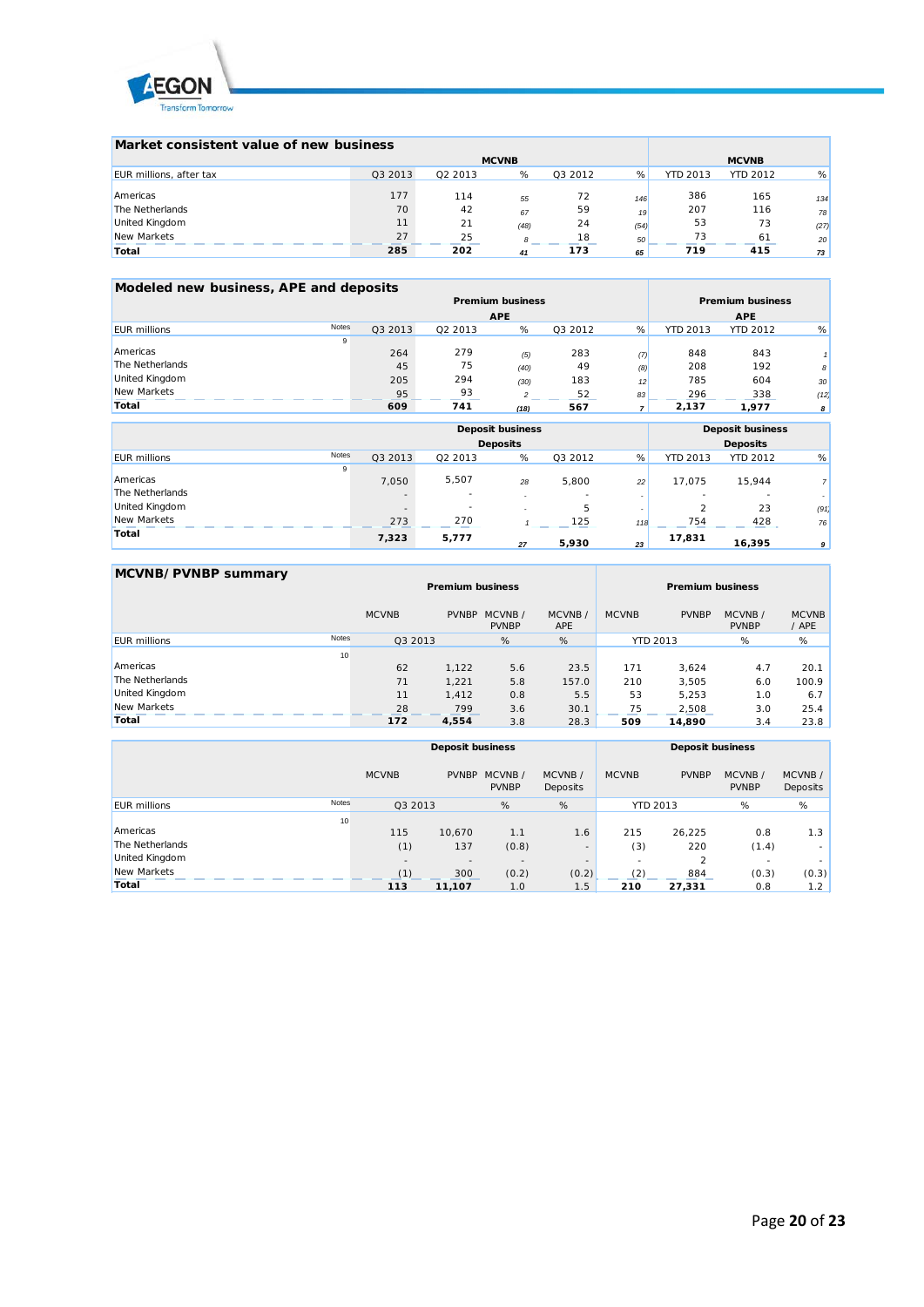

| Market consistent value of new business |         |              |              |         |      |                 |                 |      |
|-----------------------------------------|---------|--------------|--------------|---------|------|-----------------|-----------------|------|
|                                         |         | <b>MCVNB</b> | <b>MCVNB</b> |         |      |                 |                 |      |
| EUR millions, after tax                 | Q3 2013 | Q2 2013      | %            | Q3 2012 | %    | <b>YTD 2013</b> | <b>YTD 2012</b> | %    |
| Americas                                | 177     | 114          | 55           | 72      | 146  | 386             | 165             | 134  |
| The Netherlands                         | 70      | 42           | 67           | 59      | 19   | 207             | 116             | 78   |
| United Kingdom                          | 11      | 21           | (48)         | 24      | (54) | 53              | 73              | (27) |
| New Markets                             | 27      | 25           | 8            | 18      | 50   | 73              | 61              | 20   |
| Total                                   | 285     | 202          | 41           | 173     | 65   | 719             | 415             | 73   |

| Modeled new business, APE and deposits |              |         |         |                         |         |     |                 |                         |    |
|----------------------------------------|--------------|---------|---------|-------------------------|---------|-----|-----------------|-------------------------|----|
|                                        |              |         |         | <b>Premium business</b> |         |     |                 | <b>Premium business</b> |    |
|                                        |              |         |         | <b>APE</b>              |         |     |                 | <b>APE</b>              |    |
| <b>EUR millions</b>                    | <b>Notes</b> | Q3 2013 | 02 2013 | %                       | 03 2012 | %   | <b>YTD 2013</b> | YTD 2012                | %  |
|                                        | 9            |         |         |                         |         |     |                 |                         |    |
| Americas                               |              | 264     | 279     | (5)                     | 283     | (7) | 848             | 843                     |    |
| The Netherlands                        |              | 45      | 75      | (40)                    | 49      | (8) | 208             | 192                     | 8  |
| <b>United Kingdom</b>                  |              | 205     | 294     | (30)                    | 183     | 12  | 785             | 604                     | 30 |

| Total               | 609              | 741     | (18)                    | 567     |     | 2,137           | 1,977                   | $\boldsymbol{s}$ |
|---------------------|------------------|---------|-------------------------|---------|-----|-----------------|-------------------------|------------------|
|                     |                  |         | <b>Deposit business</b> |         |     |                 | <b>Deposit business</b> |                  |
|                     |                  |         | <b>Deposits</b>         |         |     |                 | <b>Deposits</b>         |                  |
| <b>EUR</b> millions | Notes<br>Q3 2013 | Q2 2013 | %                       | Q3 2012 | %   | <b>YTD 2013</b> | <b>YTD 2012</b>         | %                |
|                     | 9                |         |                         |         |     |                 |                         |                  |
| Americas            | 7.050            | 5,507   | 28                      | 5,800   | 22  | 17,075          | 15,944                  | $\overline{7}$   |
| The Netherlands     |                  | ٠       | ۰.                      |         |     |                 |                         |                  |
| United Kingdom      | $\sim$           | $\sim$  |                         | 5       |     |                 | 23                      | (91)             |
| New Markets         | 273              | 270     |                         | 125     | 118 | 754             | 428                     | 76               |
| Total               | 7,323            | 5,777   | 27                      | 5,930   | 23  | 17,831          | 16,395                  | 9                |

New Markets 95 93 *2* 52 *83* 296 338 *(12)*

| MCVNB/PVNBP summary |              |                         |              |                        |                      |                 |                         |                        |                       |  |
|---------------------|--------------|-------------------------|--------------|------------------------|----------------------|-----------------|-------------------------|------------------------|-----------------------|--|
|                     |              | <b>Premium business</b> |              |                        |                      |                 | <b>Premium business</b> |                        |                       |  |
|                     |              | <b>MCVNB</b>            | <b>PVNBP</b> | MCVNB/<br><b>PVNBP</b> | MCVNB/<br><b>APE</b> | <b>MCVNB</b>    | <b>PVNBP</b>            | MCVNB/<br><b>PVNBP</b> | <b>MCVNB</b><br>/ APE |  |
| <b>FUR millions</b> | <b>Notes</b> | Q3 2013                 |              | %                      | %                    | <b>YTD 2013</b> |                         | %                      | %                     |  |
|                     | 10           |                         |              |                        |                      |                 |                         |                        |                       |  |
| Americas            |              | 62                      | 1.122        | 5.6                    | 23.5                 | 171             | 3.624                   | 4.7                    | 20.1                  |  |
| The Netherlands     |              | 71                      | 1,221        | 5.8                    | 157.0                | 210             | 3,505                   | 6.0                    | 100.9                 |  |
| United Kingdom      |              | 11                      | 1.412        | 0.8                    | 5.5                  | 53              | 5.253                   | 1.0                    | 6.7                   |  |
| New Markets         |              | 28                      | 799          | 3.6                    | 30.1                 | 75              | 2.508                   | 3.0                    | 25.4                  |  |
| Total               |              | 172                     | 4,554        | 3.8                    | 28.3                 | 509             | 14.890                  | 3.4                    | 23.8                  |  |

|                     |              | <b>Deposit business</b> |              |                        |                    | <b>Deposit business</b> |                 |                          |                    |
|---------------------|--------------|-------------------------|--------------|------------------------|--------------------|-------------------------|-----------------|--------------------------|--------------------|
|                     |              | <b>MCVNB</b>            | <b>PVNBP</b> | MCVNB/<br><b>PVNBP</b> | MCVNB/<br>Deposits | <b>MCVNB</b>            | <b>PVNBP</b>    | MCVNB/<br><b>PVNBP</b>   | MCVNB/<br>Deposits |
| <b>EUR millions</b> | <b>Notes</b> | Q3 2013                 |              | %                      | %                  |                         | <b>YTD 2013</b> | %                        | %                  |
|                     | 10           |                         |              |                        |                    |                         |                 |                          |                    |
| Americas            |              | 115                     | 10,670       | 1.1                    | 1.6                | 215                     | 26,225          | 0.8                      | 1.3                |
| The Netherlands     |              | (1)                     | 137          | (0.8)                  | ۰                  | (3)                     | 220             | (1.4)                    | ۰                  |
| United Kingdom      |              | $\overline{a}$          | $\sim$       | $\sim$                 | ۰                  | ۰                       |                 | $\overline{\phantom{a}}$ | ۰                  |
| New Markets         |              | (1)                     | 300          | (0.2)                  | (0.2)              | (2)                     | 884             | (0.3)                    | (0.3)              |
| Total               |              | 113                     | 11,107       | 1.0                    | 1.5                | 210                     | 27.331          | 0.8                      | 1.2                |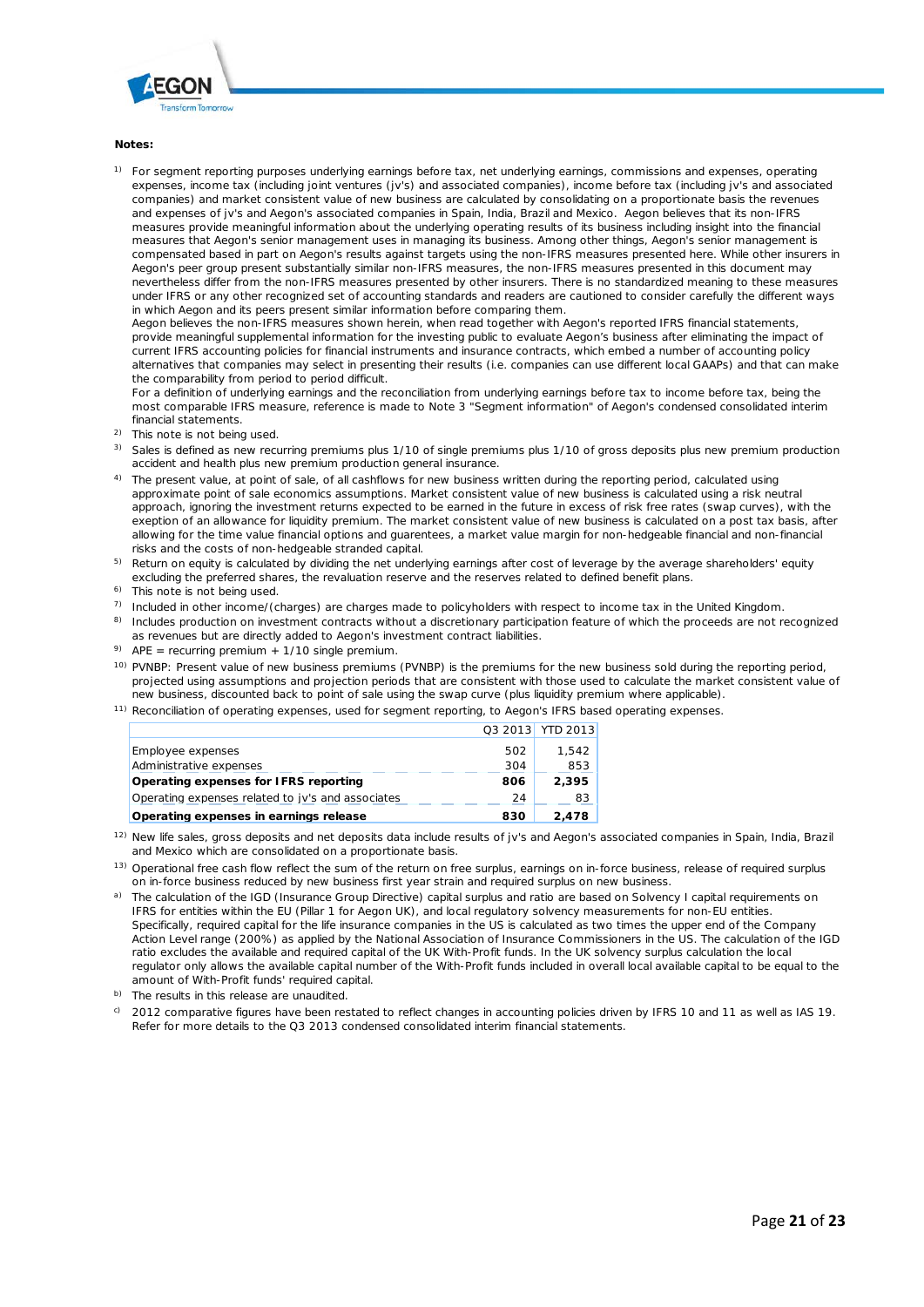

#### **Notes:**

<sup>1)</sup> For segment reporting purposes underlying earnings before tax, net underlying earnings, commissions and expenses, operating expenses, income tax (including joint ventures (jv's) and associated companies), income before tax (including jv's and associated companies) and market consistent value of new business are calculated by consolidating on a proportionate basis the revenues and expenses of jv's and Aegon's associated companies in Spain, India, Brazil and Mexico. Aegon believes that its non-IFRS measures provide meaningful information about the underlying operating results of its business including insight into the financial measures that Aegon's senior management uses in managing its business. Among other things, Aegon's senior management is compensated based in part on Aegon's results against targets using the non-IFRS measures presented here. While other insurers in Aegon's peer group present substantially similar non-IFRS measures, the non-IFRS measures presented in this document may nevertheless differ from the non-IFRS measures presented by other insurers. There is no standardized meaning to these measures under IFRS or any other recognized set of accounting standards and readers are cautioned to consider carefully the different ways in which Aegon and its peers present similar information before comparing them.

Aegon believes the non-IFRS measures shown herein, when read together with Aegon's reported IFRS financial statements, provide meaningful supplemental information for the investing public to evaluate Aegon's business after eliminating the impact of current IFRS accounting policies for financial instruments and insurance contracts, which embed a number of accounting policy alternatives that companies may select in presenting their results (i.e. companies can use different local GAAPs) and that can make the comparability from period to period difficult.

For a definition of underlying earnings and the reconciliation from underlying earnings before tax to income before tax, being the most comparable IFRS measure, reference is made to Note 3 "Segment information" of Aegon's condensed consolidated interim financial statements.

- <sup>2)</sup> This note is not being used.
- <sup>3)</sup> Sales is defined as new recurring premiums plus 1/10 of single premiums plus 1/10 of gross deposits plus new premium production accident and health plus new premium production general insurance.
- <sup>4)</sup> The present value, at point of sale, of all cashflows for new business written during the reporting period, calculated using approximate point of sale economics assumptions. Market consistent value of new business is calculated using a risk neutral approach, ignoring the investment returns expected to be earned in the future in excess of risk free rates (swap curves), with the exeption of an allowance for liquidity premium. The market consistent value of new business is calculated on a post tax basis, after allowing for the time value financial options and guarentees, a market value margin for non-hedgeable financial and non-financial risks and the costs of non-hedgeable stranded capital.
- <sup>5)</sup> Return on equity is calculated by dividing the net underlying earnings after cost of leverage by the average shareholders' equity excluding the preferred shares, the revaluation reserve and the reserves related to defined benefit plans.
- <sup>6)</sup> This note is not being used.
- $7)$  Included in other income/(charges) are charges made to policyholders with respect to income tax in the United Kingdom.
- <sup>8)</sup> Includes production on investment contracts without a discretionary participation feature of which the proceeds are not recognized as revenues but are directly added to Aegon's investment contract liabilities.
- <sup>9)</sup> APE = recurring premium + 1/10 single premium.
- <sup>10)</sup> PVNBP: Present value of new business premiums (PVNBP) is the premiums for the new business sold during the reporting period, projected using assumptions and projection periods that are consistent with those used to calculate the market consistent value of new business, discounted back to point of sale using the swap curve (plus liquidity premium where applicable).
- <sup>11)</sup> Reconciliation of operating expenses, used for segment reporting, to Aegon's IFRS based operating expenses.

|                                                   |     | Q3 2013 YTD 2013 |
|---------------------------------------------------|-----|------------------|
| Employee expenses                                 | 502 | 1.542            |
| Administrative expenses                           | 304 | 853              |
| Operating expenses for IFRS reporting             | 806 | 2.395            |
| Operating expenses related to jv's and associates | 24  | 83               |
| Operating expenses in earnings release            | 830 | 2.478            |

<sup>12)</sup> New life sales, gross deposits and net deposits data include results of jv's and Aegon's associated companies in Spain, India, Brazil and Mexico which are consolidated on a proportionate basis.

- <sup>13)</sup> Operational free cash flow reflect the sum of the return on free surplus, earnings on in-force business, release of required surplus on in-force business reduced by new business first year strain and required surplus on new business.
- a) The calculation of the IGD (Insurance Group Directive) capital surplus and ratio are based on Solvency I capital requirements on IFRS for entities within the EU (Pillar 1 for Aegon UK), and local regulatory solvency measurements for non-EU entities. Specifically, required capital for the life insurance companies in the US is calculated as two times the upper end of the Company Action Level range (200%) as applied by the National Association of Insurance Commissioners in the US. The calculation of the IGD ratio excludes the available and required capital of the UK With-Profit funds. In the UK solvency surplus calculation the local regulator only allows the available capital number of the With-Profit funds included in overall local available capital to be equal to the amount of With-Profit funds' required capital.

b) The results in this release are unaudited.

c) 2012 comparative figures have been restated to reflect changes in accounting policies driven by IFRS 10 and 11 as well as IAS 19. Refer for more details to the Q3 2013 condensed consolidated interim financial statements.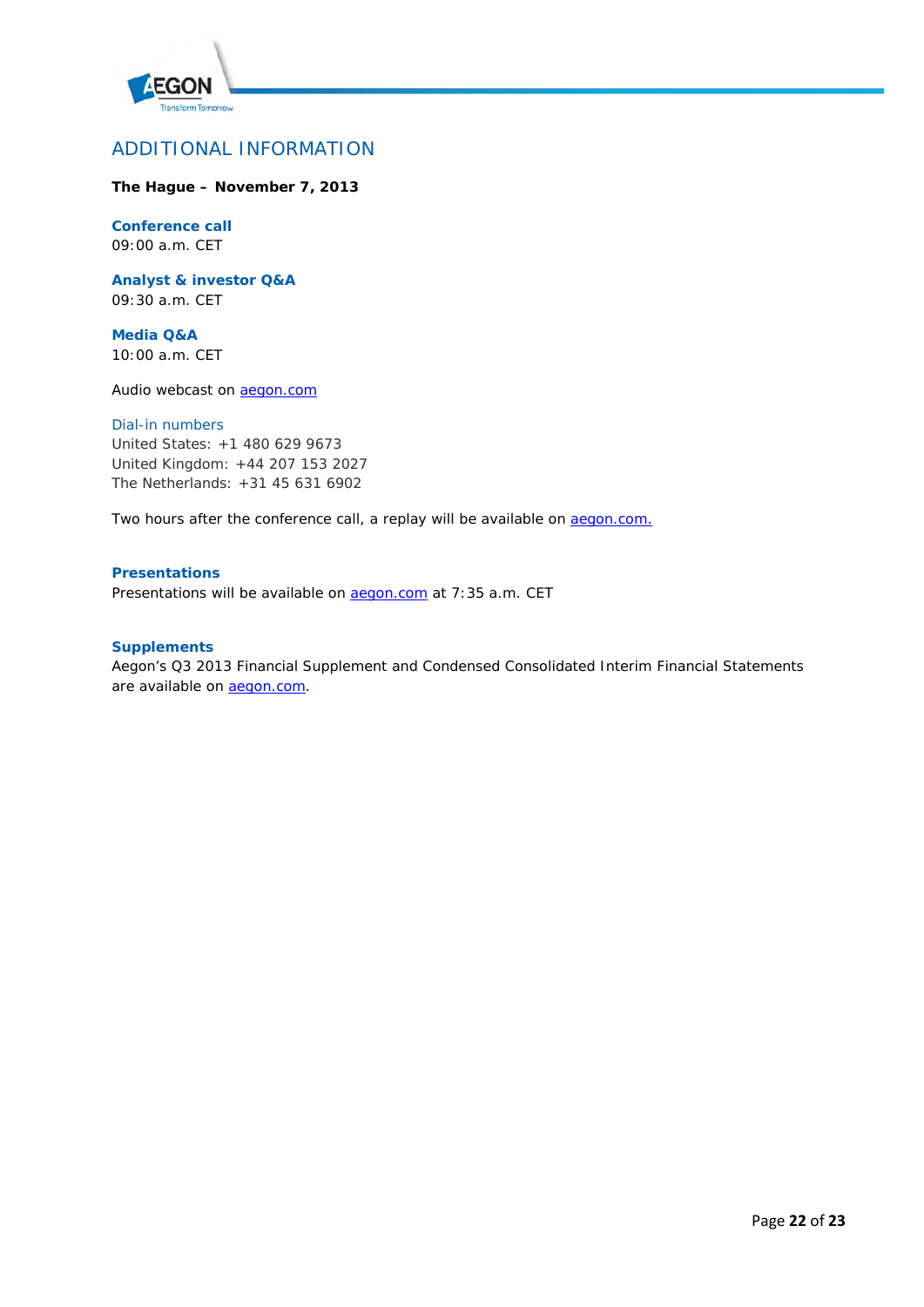

# ADDITIONAL INFORMATION

# **The Hague – November 7, 2013**

# **Conference call**

09:00 a.m. CET

**Analyst & investor Q&A** 09:30 a.m. CET

**Media Q&A** 10:00 a.m. CET

Audio webcast on **aegon.com** 

### *Dial-in numbers*

United States: +1 480 629 9673 United Kingdom: +44 207 153 2027 The Netherlands: +31 45 631 6902

Two hours after the conference call, a replay will be available on **aegon.com.** 

# **Presentations**

Presentations will be available on **aegon.com** at 7:35 a.m. CET

## **Supplements**

Aegon's Q3 2013 Financial Supplement and Condensed Consolidated Interim Financial Statements are available on **aegon.com**.